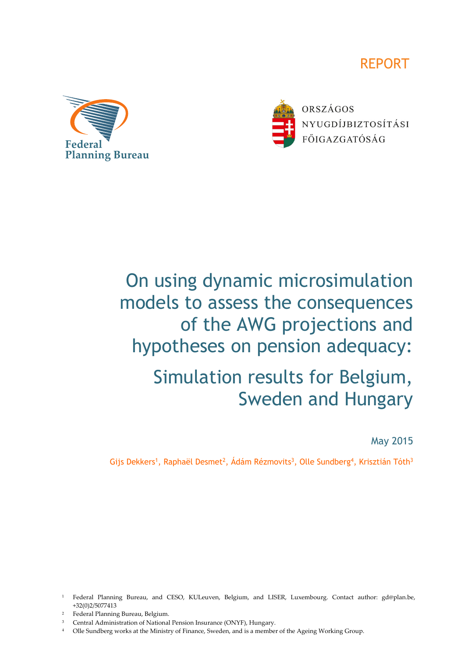





ORSZÁGOS NYUGDÍJBIZTOSÍTÁSI FŐIGAZGATÓSÁG

# On using dynamic microsimulation models to assess the consequences of the AWG projections and hypotheses on pension adequacy:

# Simulation results for Belgium, Sweden and Hungary

May 2015

Gijs Dekkers<sup>1</sup>, Raphaël Desmet<sup>2</sup>, Ádám Rézmovits<sup>3</sup>, Olle Sundberg<sup>4</sup>, Krisztián Tóth<sup>3</sup>

- 2 Federal Planning Bureau, Belgium.
- 3 Central Administration of National Pension Insurance (ONYF), Hungary.
- 4 Olle Sundberg works at the Ministry of Finance, Sweden, and is a member of the Ageing Working Group.

<sup>1</sup> Federal Planning Bureau, and CESO, KULeuven, Belgium, and LISER, Luxembourg. Contact author: gd@plan.be, +32(0)2/5077413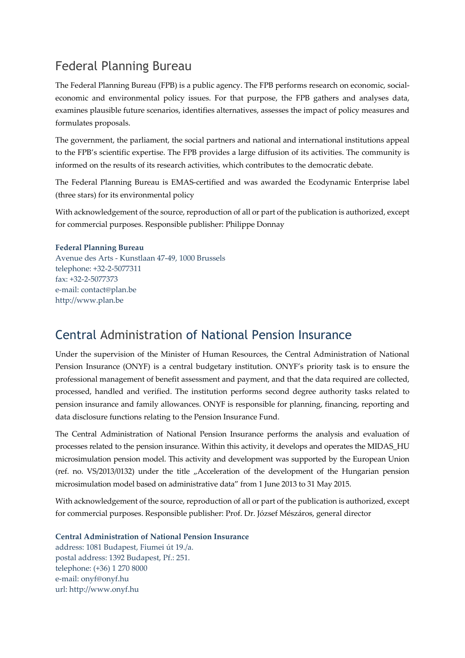# Federal Planning Bureau

The Federal Planning Bureau (FPB) is a public agency. The FPB performs research on economic, socialeconomic and environmental policy issues. For that purpose, the FPB gathers and analyses data, examines plausible future scenarios, identifies alternatives, assesses the impact of policy measures and formulates proposals.

The government, the parliament, the social partners and national and international institutions appeal to the FPB's scientific expertise. The FPB provides a large diffusion of its activities. The community is informed on the results of its research activities, which contributes to the democratic debate.

The Federal Planning Bureau is EMAS-certified and was awarded the Ecodynamic Enterprise label (three stars) for its environmental policy

With acknowledgement of the source, reproduction of all or part of the publication is authorized, except for commercial purposes. Responsible publisher: Philippe Donnay

#### **Federal Planning Bureau**

Avenue des Arts - Kunstlaan 47-49, 1000 Brussels telephone: +32-2-5077311 fax: +32-2-5077373 e-mail: contact@plan.be http://www.plan.be

## Central Administration of National Pension Insurance

Under the supervision of the Minister of Human Resources, the Central Administration of National Pension Insurance (ONYF) is a central budgetary institution. ONYF's priority task is to ensure the professional management of benefit assessment and payment, and that the data required are collected, processed, handled and verified. The institution performs second degree authority tasks related to pension insurance and family allowances. ONYF is responsible for planning, financing, reporting and data disclosure functions relating to the Pension Insurance Fund.

The Central Administration of National Pension Insurance performs the analysis and evaluation of processes related to the pension insurance. Within this activity, it develops and operates the MIDAS\_HU microsimulation pension model. This activity and development was supported by the European Union (ref. no. VS/2013/0132) under the title "Acceleration of the development of the Hungarian pension microsimulation model based on administrative data" from 1 June 2013 to 31 May 2015.

With acknowledgement of the source, reproduction of all or part of the publication is authorized, except for commercial purposes. Responsible publisher: Prof. Dr. József Mészáros, general director

**Central Administration of National Pension Insurance**  address: 1081 Budapest, Fiumei út 19./a. postal address: 1392 Budapest, Pf.: 251. telephone: (+36) 1 270 8000 e-mail: onyf@onyf.hu url: http://www.onyf.hu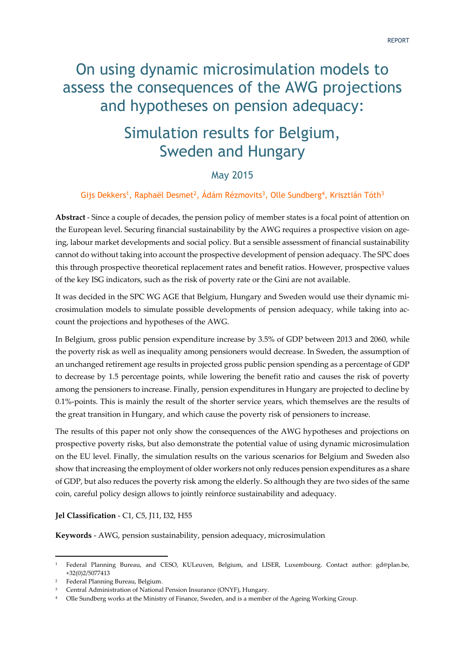# On using dynamic microsimulation models to assess the consequences of the AWG projections and hypotheses on pension adequacy:

# Simulation results for Belgium, Sweden and Hungary

## May 2015

#### Gijs Dekkers<sup>1</sup>, Raphaël Desmet<sup>2</sup>, Ádám Rézmovits<sup>3</sup>, Olle Sundberg<sup>4</sup>, Krisztián Tóth<sup>3</sup>

**Abstract** - Since a couple of decades, the pension policy of member states is a focal point of attention on the European level. Securing financial sustainability by the AWG requires a prospective vision on ageing, labour market developments and social policy. But a sensible assessment of financial sustainability cannot do without taking into account the prospective development of pension adequacy. The SPC does this through prospective theoretical replacement rates and benefit ratios. However, prospective values of the key ISG indicators, such as the risk of poverty rate or the Gini are not available.

It was decided in the SPC WG AGE that Belgium, Hungary and Sweden would use their dynamic microsimulation models to simulate possible developments of pension adequacy, while taking into account the projections and hypotheses of the AWG.

In Belgium, gross public pension expenditure increase by 3.5% of GDP between 2013 and 2060, while the poverty risk as well as inequality among pensioners would decrease. In Sweden, the assumption of an unchanged retirement age results in projected gross public pension spending as a percentage of GDP to decrease by 1.5 percentage points, while lowering the benefit ratio and causes the risk of poverty among the pensioners to increase. Finally, pension expenditures in Hungary are projected to decline by 0.1%-points. This is mainly the result of the shorter service years, which themselves are the results of the great transition in Hungary, and which cause the poverty risk of pensioners to increase.

The results of this paper not only show the consequences of the AWG hypotheses and projections on prospective poverty risks, but also demonstrate the potential value of using dynamic microsimulation on the EU level. Finally, the simulation results on the various scenarios for Belgium and Sweden also show that increasing the employment of older workers not only reduces pension expenditures as a share of GDP, but also reduces the poverty risk among the elderly. So although they are two sides of the same coin, careful policy design allows to jointly reinforce sustainability and adequacy.

#### **Jel Classification** - C1, C5, J11, I32, H55

**Keywords** - AWG, pension sustainability, pension adequacy, microsimulation

-

<sup>1</sup> Federal Planning Bureau, and CESO, KULeuven, Belgium, and LISER, Luxembourg. Contact author: gd@plan.be, +32(0)2/5077413

<sup>2</sup> Federal Planning Bureau, Belgium.

<sup>3</sup> Central Administration of National Pension Insurance (ONYF), Hungary.

<sup>4</sup> Olle Sundberg works at the Ministry of Finance, Sweden, and is a member of the Ageing Working Group.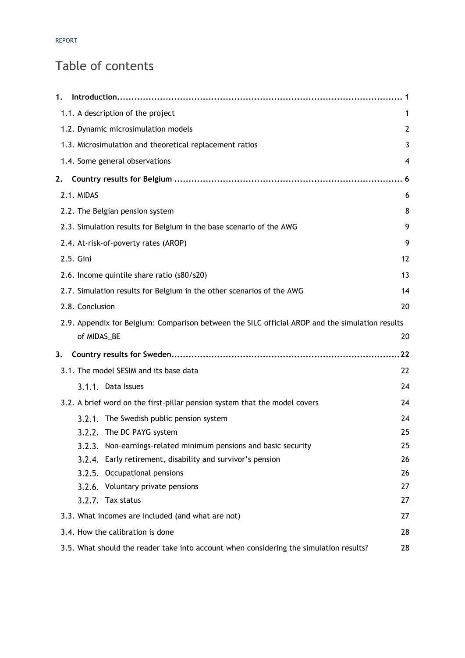# Table of contents

| 1.                                                                                              | . .1 |
|-------------------------------------------------------------------------------------------------|------|
| 1.1. A description of the project                                                               | 1    |
| 1.2. Dynamic microsimulation models                                                             | 2    |
| 1.3. Microsimulation and theoretical replacement ratios                                         | 3    |
| 1.4. Some general observations                                                                  | 4    |
| 2.                                                                                              |      |
| 2.1. MIDAS                                                                                      | 6    |
| 2.2. The Belgian pension system                                                                 | 8    |
| 2.3. Simulation results for Belgium in the base scenario of the AWG                             | 9    |
| 2.4. At-risk-of-poverty rates (AROP)                                                            | 9    |
| 2.5. Gini                                                                                       | 12   |
| 2.6. Income quintile share ratio (s80/s20)                                                      | 13   |
| 2.7. Simulation results for Belgium in the other scenarios of the AWG                           | 14   |
| 2.8. Conclusion                                                                                 | 20   |
| 2.9. Appendix for Belgium: Comparison between the SILC official AROP and the simulation results |      |
| of MIDAS_BE                                                                                     | 20   |
| 3.                                                                                              | 22   |
| 3.1. The model SESIM and its base data                                                          | 22   |
| 3.1.1. Data Issues                                                                              | 24   |
| 3.2. A brief word on the first-pillar pension system that the model covers                      | 24   |
| 3.2.1. The Swedish public pension system                                                        | 24   |
| 3.2.2. The DC PAYG system                                                                       | 25   |
| 3.2.3. Non-earnings-related minimum pensions and basic security                                 | 25   |
| Early retirement, disability and survivor's pension<br>3.2.4.                                   | 26   |
| 3.2.5.<br>Occupational pensions                                                                 | 26   |
| 3.2.6. Voluntary private pensions                                                               | 27   |
| 3.2.7. Tax status                                                                               | 27   |
| 3.3. What incomes are included (and what are not)                                               | 27   |
| 3.4. How the calibration is done                                                                | 28   |
| 3.5. What should the reader take into account when considering the simulation results?          | 28   |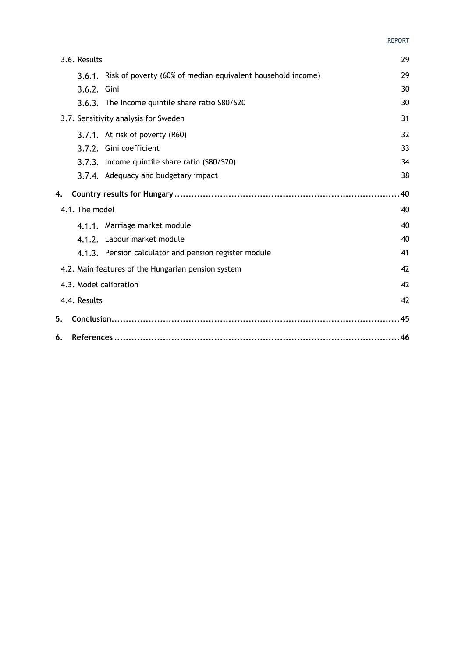#### REPORT

| 3.6. Results           |                                                                    | 29 |
|------------------------|--------------------------------------------------------------------|----|
|                        | 3.6.1. Risk of poverty (60% of median equivalent household income) | 29 |
| 3.6.2. Gini            |                                                                    | 30 |
|                        | 3.6.3. The Income quintile share ratio S80/S20                     | 30 |
|                        | 3.7. Sensitivity analysis for Sweden                               | 31 |
|                        | 3.7.1. At risk of poverty (R60)                                    | 32 |
|                        | 3.7.2. Gini coefficient                                            | 33 |
|                        | 3.7.3. Income quintile share ratio (S80/S20)                       | 34 |
|                        | 3.7.4. Adequacy and budgetary impact                               | 38 |
| 4.                     |                                                                    | 40 |
| 4.1. The model         |                                                                    | 40 |
|                        | 4.1.1. Marriage market module                                      | 40 |
|                        | 4.1.2. Labour market module                                        | 40 |
|                        | 4.1.3. Pension calculator and pension register module              | 41 |
|                        | 4.2. Main features of the Hungarian pension system                 | 42 |
| 4.3. Model calibration |                                                                    | 42 |
| 4.4. Results           |                                                                    | 42 |
| 5.                     |                                                                    | 45 |
| 6.                     |                                                                    | 46 |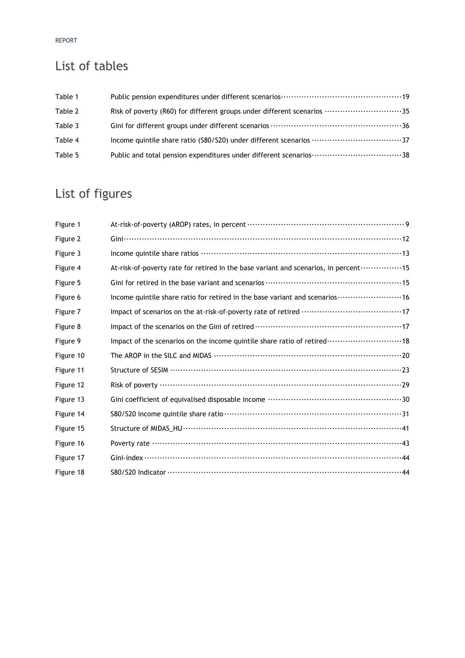#### REPORT

# List of tables

| Table 1 |                                                                         |  |
|---------|-------------------------------------------------------------------------|--|
| Table 2 | Risk of poverty (R60) for different groups under different scenarios 35 |  |
| Table 3 |                                                                         |  |
| Table 4 |                                                                         |  |
| Table 5 |                                                                         |  |

# List of figures

| Figure 1  |                                                                                                         |
|-----------|---------------------------------------------------------------------------------------------------------|
| Figure 2  |                                                                                                         |
| Figure 3  |                                                                                                         |
| Figure 4  | At-risk-of-poverty rate for retired in the base variant and scenarios, in percent 15                    |
| Figure 5  |                                                                                                         |
| Figure 6  | Income quintile share ratio for retired in the base variant and scenarios ·························· 16 |
| Figure 7  |                                                                                                         |
| Figure 8  |                                                                                                         |
| Figure 9  | Impact of the scenarios on the income quintile share ratio of retired  18                               |
| Figure 10 |                                                                                                         |
| Figure 11 |                                                                                                         |
| Figure 12 |                                                                                                         |
| Figure 13 |                                                                                                         |
| Figure 14 |                                                                                                         |
| Figure 15 |                                                                                                         |
| Figure 16 |                                                                                                         |
| Figure 17 |                                                                                                         |
| Figure 18 |                                                                                                         |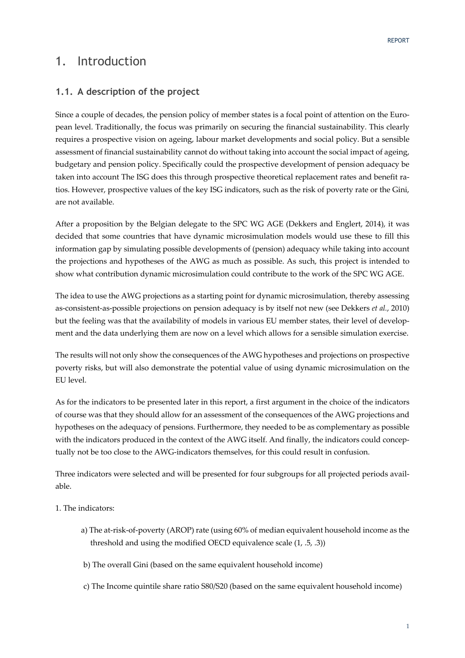## 1. Introduction

## **1.1. A description of the project**

Since a couple of decades, the pension policy of member states is a focal point of attention on the European level. Traditionally, the focus was primarily on securing the financial sustainability. This clearly requires a prospective vision on ageing, labour market developments and social policy. But a sensible assessment of financial sustainability cannot do without taking into account the social impact of ageing, budgetary and pension policy. Specifically could the prospective development of pension adequacy be taken into account The ISG does this through prospective theoretical replacement rates and benefit ratios. However, prospective values of the key ISG indicators, such as the risk of poverty rate or the Gini, are not available.

After a proposition by the Belgian delegate to the SPC WG AGE (Dekkers and Englert, 2014), it was decided that some countries that have dynamic microsimulation models would use these to fill this information gap by simulating possible developments of (pension) adequacy while taking into account the projections and hypotheses of the AWG as much as possible. As such, this project is intended to show what contribution dynamic microsimulation could contribute to the work of the SPC WG AGE.

The idea to use the AWG projections as a starting point for dynamic microsimulation, thereby assessing as-consistent-as-possible projections on pension adequacy is by itself not new (see Dekkers *et al.*, 2010) but the feeling was that the availability of models in various EU member states, their level of development and the data underlying them are now on a level which allows for a sensible simulation exercise.

The results will not only show the consequences of the AWG hypotheses and projections on prospective poverty risks, but will also demonstrate the potential value of using dynamic microsimulation on the EU level.

As for the indicators to be presented later in this report, a first argument in the choice of the indicators of course was that they should allow for an assessment of the consequences of the AWG projections and hypotheses on the adequacy of pensions. Furthermore, they needed to be as complementary as possible with the indicators produced in the context of the AWG itself. And finally, the indicators could conceptually not be too close to the AWG-indicators themselves, for this could result in confusion.

Three indicators were selected and will be presented for four subgroups for all projected periods available.

1. The indicators:

- a) The at-risk-of-poverty (AROP) rate (using 60% of median equivalent household income as the threshold and using the modified OECD equivalence scale (1, .5, .3))
- b) The overall Gini (based on the same equivalent household income)
- c) The Income quintile share ratio S80/S20 (based on the same equivalent household income)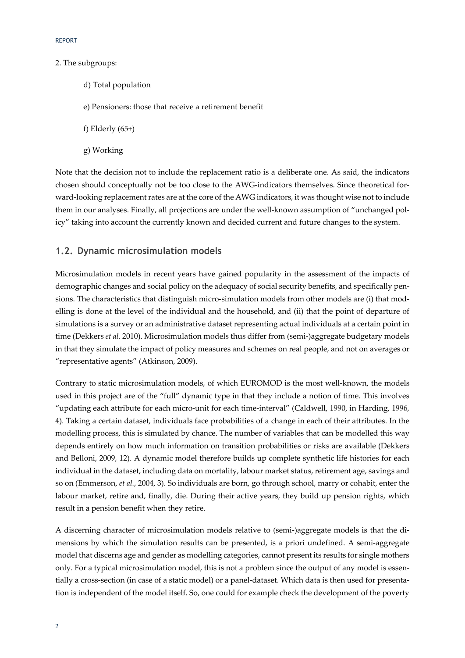#### 2. The subgroups:

- d) Total population
- e) Pensioners: those that receive a retirement benefit
- f) Elderly (65+)
- g) Working

Note that the decision not to include the replacement ratio is a deliberate one. As said, the indicators chosen should conceptually not be too close to the AWG-indicators themselves. Since theoretical forward-looking replacement rates are at the core of the AWG indicators, it was thought wise not to include them in our analyses. Finally, all projections are under the well-known assumption of "unchanged policy" taking into account the currently known and decided current and future changes to the system.

#### **1.2. Dynamic microsimulation models**

Microsimulation models in recent years have gained popularity in the assessment of the impacts of demographic changes and social policy on the adequacy of social security benefits, and specifically pensions. The characteristics that distinguish micro-simulation models from other models are (i) that modelling is done at the level of the individual and the household, and (ii) that the point of departure of simulations is a survey or an administrative dataset representing actual individuals at a certain point in time (Dekkers *et al.* 2010). Microsimulation models thus differ from (semi-)aggregate budgetary models in that they simulate the impact of policy measures and schemes on real people, and not on averages or "representative agents" (Atkinson, 2009).

Contrary to static microsimulation models, of which EUROMOD is the most well-known, the models used in this project are of the "full" dynamic type in that they include a notion of time. This involves "updating each attribute for each micro-unit for each time-interval" (Caldwell, 1990, in Harding, 1996, 4). Taking a certain dataset, individuals face probabilities of a change in each of their attributes. In the modelling process, this is simulated by chance. The number of variables that can be modelled this way depends entirely on how much information on transition probabilities or risks are available (Dekkers and Belloni, 2009, 12). A dynamic model therefore builds up complete synthetic life histories for each individual in the dataset, including data on mortality, labour market status, retirement age, savings and so on (Emmerson, *et al.*, 2004, 3). So individuals are born, go through school, marry or cohabit, enter the labour market, retire and, finally, die. During their active years, they build up pension rights, which result in a pension benefit when they retire.

A discerning character of microsimulation models relative to (semi-)aggregate models is that the dimensions by which the simulation results can be presented, is a priori undefined. A semi-aggregate model that discerns age and gender as modelling categories, cannot present its results for single mothers only. For a typical microsimulation model, this is not a problem since the output of any model is essentially a cross-section (in case of a static model) or a panel-dataset. Which data is then used for presentation is independent of the model itself. So, one could for example check the development of the poverty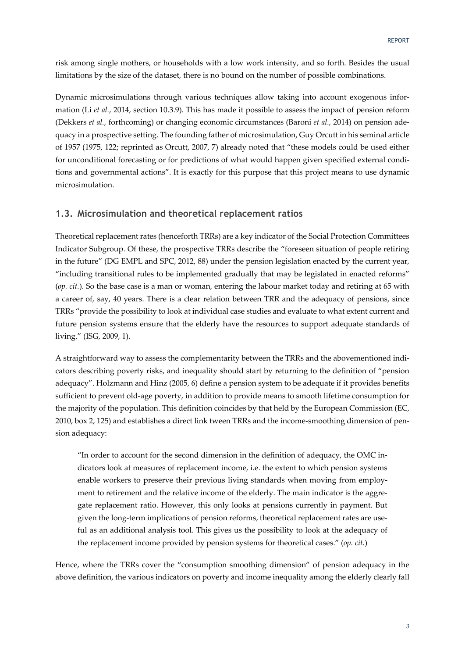risk among single mothers, or households with a low work intensity, and so forth. Besides the usual limitations by the size of the dataset, there is no bound on the number of possible combinations.

Dynamic microsimulations through various techniques allow taking into account exogenous information (Li *et al.*, 2014, section 10.3.9). This has made it possible to assess the impact of pension reform (Dekkers *et al.*, forthcoming) or changing economic circumstances (Baroni *et al.*, 2014) on pension adequacy in a prospective setting. The founding father of microsimulation, Guy Orcutt in his seminal article of 1957 (1975, 122; reprinted as Orcutt, 2007, 7) already noted that "these models could be used either for unconditional forecasting or for predictions of what would happen given specified external conditions and governmental actions". It is exactly for this purpose that this project means to use dynamic microsimulation.

#### **1.3. Microsimulation and theoretical replacement ratios**

Theoretical replacement rates (henceforth TRRs) are a key indicator of the Social Protection Committees Indicator Subgroup. Of these, the prospective TRRs describe the "foreseen situation of people retiring in the future" (DG EMPL and SPC, 2012, 88) under the pension legislation enacted by the current year, "including transitional rules to be implemented gradually that may be legislated in enacted reforms" (*op. cit.*). So the base case is a man or woman, entering the labour market today and retiring at 65 with a career of, say, 40 years. There is a clear relation between TRR and the adequacy of pensions, since TRRs "provide the possibility to look at individual case studies and evaluate to what extent current and future pension systems ensure that the elderly have the resources to support adequate standards of living." (ISG, 2009, 1).

A straightforward way to assess the complementarity between the TRRs and the abovementioned indicators describing poverty risks, and inequality should start by returning to the definition of "pension adequacy". Holzmann and Hinz (2005, 6) define a pension system to be adequate if it provides benefits sufficient to prevent old-age poverty, in addition to provide means to smooth lifetime consumption for the majority of the population. This definition coincides by that held by the European Commission (EC, 2010, box 2, 125) and establishes a direct link tween TRRs and the income-smoothing dimension of pension adequacy:

"In order to account for the second dimension in the definition of adequacy, the OMC indicators look at measures of replacement income, i.e. the extent to which pension systems enable workers to preserve their previous living standards when moving from employment to retirement and the relative income of the elderly. The main indicator is the aggregate replacement ratio. However, this only looks at pensions currently in payment. But given the long-term implications of pension reforms, theoretical replacement rates are useful as an additional analysis tool. This gives us the possibility to look at the adequacy of the replacement income provided by pension systems for theoretical cases." (*op. cit.*)

Hence, where the TRRs cover the "consumption smoothing dimension" of pension adequacy in the above definition, the various indicators on poverty and income inequality among the elderly clearly fall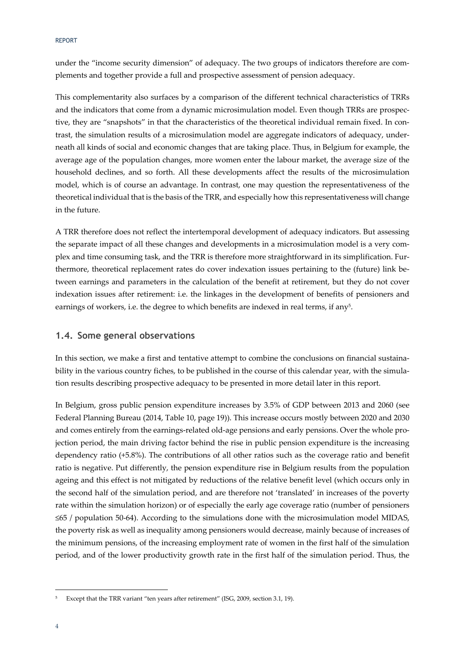REPORT

under the "income security dimension" of adequacy. The two groups of indicators therefore are complements and together provide a full and prospective assessment of pension adequacy.

This complementarity also surfaces by a comparison of the different technical characteristics of TRRs and the indicators that come from a dynamic microsimulation model. Even though TRRs are prospective, they are "snapshots" in that the characteristics of the theoretical individual remain fixed. In contrast, the simulation results of a microsimulation model are aggregate indicators of adequacy, underneath all kinds of social and economic changes that are taking place. Thus, in Belgium for example, the average age of the population changes, more women enter the labour market, the average size of the household declines, and so forth. All these developments affect the results of the microsimulation model, which is of course an advantage. In contrast, one may question the representativeness of the theoretical individual that is the basis of the TRR, and especially how this representativeness will change in the future.

A TRR therefore does not reflect the intertemporal development of adequacy indicators. But assessing the separate impact of all these changes and developments in a microsimulation model is a very complex and time consuming task, and the TRR is therefore more straightforward in its simplification. Furthermore, theoretical replacement rates do cover indexation issues pertaining to the (future) link between earnings and parameters in the calculation of the benefit at retirement, but they do not cover indexation issues after retirement: i.e. the linkages in the development of benefits of pensioners and earnings of workers, i.e. the degree to which benefits are indexed in real terms, if any5.

#### **1.4. Some general observations**

In this section, we make a first and tentative attempt to combine the conclusions on financial sustainability in the various country fiches, to be published in the course of this calendar year, with the simulation results describing prospective adequacy to be presented in more detail later in this report.

In Belgium, gross public pension expenditure increases by 3.5% of GDP between 2013 and 2060 (see Federal Planning Bureau (2014, Table 10, page 19)). This increase occurs mostly between 2020 and 2030 and comes entirely from the earnings-related old-age pensions and early pensions. Over the whole projection period, the main driving factor behind the rise in public pension expenditure is the increasing dependency ratio (+5.8%). The contributions of all other ratios such as the coverage ratio and benefit ratio is negative. Put differently, the pension expenditure rise in Belgium results from the population ageing and this effect is not mitigated by reductions of the relative benefit level (which occurs only in the second half of the simulation period, and are therefore not 'translated' in increases of the poverty rate within the simulation horizon) or of especially the early age coverage ratio (number of pensioners ≤65 / population 50-64). According to the simulations done with the microsimulation model MIDAS, the poverty risk as well as inequality among pensioners would decrease, mainly because of increases of the minimum pensions, of the increasing employment rate of women in the first half of the simulation period, and of the lower productivity growth rate in the first half of the simulation period. Thus, the

-

Except that the TRR variant "ten years after retirement" (ISG, 2009, section 3.1, 19).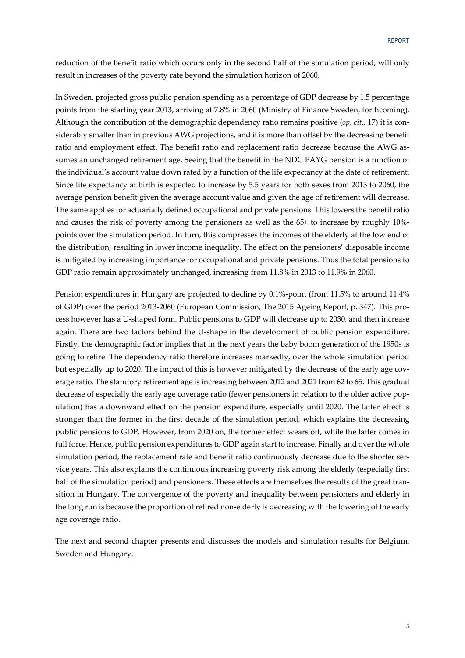reduction of the benefit ratio which occurs only in the second half of the simulation period, will only result in increases of the poverty rate beyond the simulation horizon of 2060.

In Sweden, projected gross public pension spending as a percentage of GDP decrease by 1.5 percentage points from the starting year 2013, arriving at 7.8% in 2060 (Ministry of Finance Sweden, forthcoming). Although the contribution of the demographic dependency ratio remains positive (*op. cit.*, 17) it is considerably smaller than in previous AWG projections, and it is more than offset by the decreasing benefit ratio and employment effect. The benefit ratio and replacement ratio decrease because the AWG assumes an unchanged retirement age. Seeing that the benefit in the NDC PAYG pension is a function of the individual's account value down rated by a function of the life expectancy at the date of retirement. Since life expectancy at birth is expected to increase by 5.5 years for both sexes from 2013 to 2060, the average pension benefit given the average account value and given the age of retirement will decrease. The same applies for actuarially defined occupational and private pensions. This lowers the benefit ratio and causes the risk of poverty among the pensioners as well as the 65+ to increase by roughly 10% points over the simulation period. In turn, this compresses the incomes of the elderly at the low end of the distribution, resulting in lower income inequality. The effect on the pensioners' disposable income is mitigated by increasing importance for occupational and private pensions. Thus the total pensions to GDP ratio remain approximately unchanged, increasing from 11.8% in 2013 to 11.9% in 2060.

Pension expenditures in Hungary are projected to decline by 0.1%-point (from 11.5% to around 11.4% of GDP) over the period 2013-2060 (European Commission, The 2015 Ageing Report, p. 347). This process however has a U-shaped form. Public pensions to GDP will decrease up to 2030, and then increase again. There are two factors behind the U-shape in the development of public pension expenditure. Firstly, the demographic factor implies that in the next years the baby boom generation of the 1950s is going to retire. The dependency ratio therefore increases markedly, over the whole simulation period but especially up to 2020. The impact of this is however mitigated by the decrease of the early age coverage ratio. The statutory retirement age is increasing between 2012 and 2021 from 62 to 65. This gradual decrease of especially the early age coverage ratio (fewer pensioners in relation to the older active population) has a downward effect on the pension expenditure, especially until 2020. The latter effect is stronger than the former in the first decade of the simulation period, which explains the decreasing public pensions to GDP. However, from 2020 on, the former effect wears off, while the latter comes in full force. Hence, public pension expenditures to GDP again start to increase. Finally and over the whole simulation period, the replacement rate and benefit ratio continuously decrease due to the shorter service years. This also explains the continuous increasing poverty risk among the elderly (especially first half of the simulation period) and pensioners. These effects are themselves the results of the great transition in Hungary. The convergence of the poverty and inequality between pensioners and elderly in the long run is because the proportion of retired non-elderly is decreasing with the lowering of the early age coverage ratio.

The next and second chapter presents and discusses the models and simulation results for Belgium, Sweden and Hungary.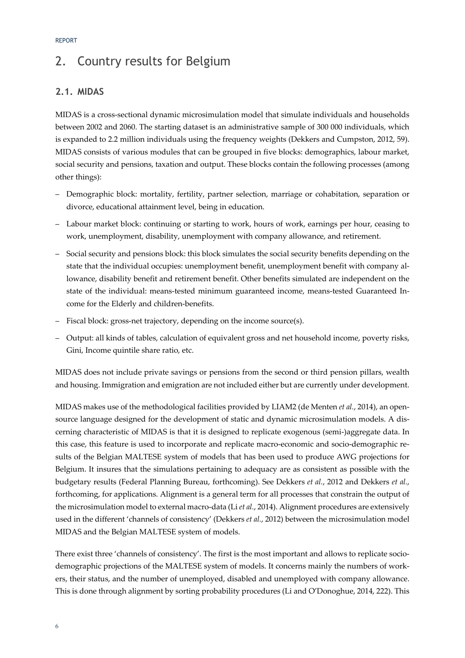# 2. Country results for Belgium

## **2.1. MIDAS**

MIDAS is a cross-sectional dynamic microsimulation model that simulate individuals and households between 2002 and 2060. The starting dataset is an administrative sample of 300 000 individuals, which is expanded to 2.2 million individuals using the frequency weights (Dekkers and Cumpston, 2012, 59). MIDAS consists of various modules that can be grouped in five blocks: demographics, labour market, social security and pensions, taxation and output. These blocks contain the following processes (among other things):

- Demographic block: mortality, fertility, partner selection, marriage or cohabitation, separation or divorce, educational attainment level, being in education.
- Labour market block: continuing or starting to work, hours of work, earnings per hour, ceasing to work, unemployment, disability, unemployment with company allowance, and retirement.
- Social security and pensions block: this block simulates the social security benefits depending on the state that the individual occupies: unemployment benefit, unemployment benefit with company allowance, disability benefit and retirement benefit. Other benefits simulated are independent on the state of the individual: means-tested minimum guaranteed income, means-tested Guaranteed Income for the Elderly and children-benefits.
- Fiscal block: gross-net trajectory, depending on the income source(s).
- Output: all kinds of tables, calculation of equivalent gross and net household income, poverty risks, Gini, Income quintile share ratio, etc.

MIDAS does not include private savings or pensions from the second or third pension pillars, wealth and housing. Immigration and emigration are not included either but are currently under development.

MIDAS makes use of the methodological facilities provided by LIAM2 (de Menten *et al.*, 2014), an opensource language designed for the development of static and dynamic microsimulation models. A discerning characteristic of MIDAS is that it is designed to replicate exogenous (semi-)aggregate data. In this case, this feature is used to incorporate and replicate macro-economic and socio-demographic results of the Belgian MALTESE system of models that has been used to produce AWG projections for Belgium. It insures that the simulations pertaining to adequacy are as consistent as possible with the budgetary results (Federal Planning Bureau, forthcoming). See Dekkers *et al.*, 2012 and Dekkers *et al.*, forthcoming, for applications. Alignment is a general term for all processes that constrain the output of the microsimulation model to external macro-data (Li *et al.*, 2014). Alignment procedures are extensively used in the different 'channels of consistency' (Dekkers *et al.*, 2012) between the microsimulation model MIDAS and the Belgian MALTESE system of models.

There exist three 'channels of consistency'. The first is the most important and allows to replicate sociodemographic projections of the MALTESE system of models. It concerns mainly the numbers of workers, their status, and the number of unemployed, disabled and unemployed with company allowance. This is done through alignment by sorting probability procedures (Li and O'Donoghue, 2014, 222). This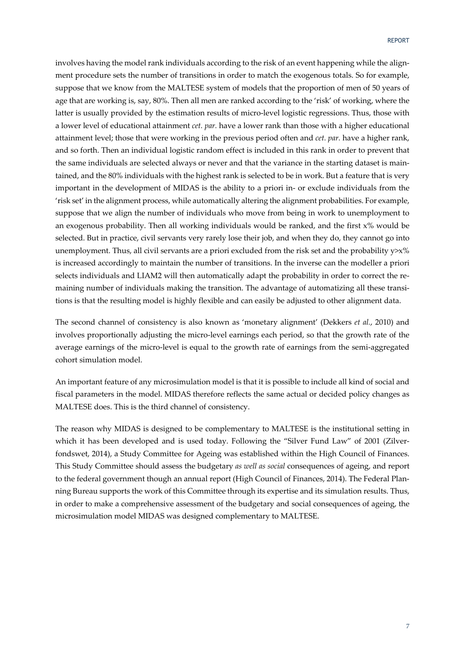involves having the model rank individuals according to the risk of an event happening while the alignment procedure sets the number of transitions in order to match the exogenous totals. So for example, suppose that we know from the MALTESE system of models that the proportion of men of 50 years of age that are working is, say, 80%. Then all men are ranked according to the 'risk' of working, where the latter is usually provided by the estimation results of micro-level logistic regressions. Thus, those with a lower level of educational attainment *cet. par.* have a lower rank than those with a higher educational attainment level; those that were working in the previous period often and *cet. par.* have a higher rank, and so forth. Then an individual logistic random effect is included in this rank in order to prevent that the same individuals are selected always or never and that the variance in the starting dataset is maintained, and the 80% individuals with the highest rank is selected to be in work. But a feature that is very important in the development of MIDAS is the ability to a priori in- or exclude individuals from the 'risk set' in the alignment process, while automatically altering the alignment probabilities. For example, suppose that we align the number of individuals who move from being in work to unemployment to an exogenous probability. Then all working individuals would be ranked, and the first x% would be selected. But in practice, civil servants very rarely lose their job, and when they do, they cannot go into unemployment. Thus, all civil servants are a priori excluded from the risk set and the probability y>x% is increased accordingly to maintain the number of transitions. In the inverse can the modeller a priori selects individuals and LIAM2 will then automatically adapt the probability in order to correct the remaining number of individuals making the transition. The advantage of automatizing all these transitions is that the resulting model is highly flexible and can easily be adjusted to other alignment data.

The second channel of consistency is also known as 'monetary alignment' (Dekkers *et al.*, 2010) and involves proportionally adjusting the micro-level earnings each period, so that the growth rate of the average earnings of the micro-level is equal to the growth rate of earnings from the semi-aggregated cohort simulation model.

An important feature of any microsimulation model is that it is possible to include all kind of social and fiscal parameters in the model. MIDAS therefore reflects the same actual or decided policy changes as MALTESE does. This is the third channel of consistency.

The reason why MIDAS is designed to be complementary to MALTESE is the institutional setting in which it has been developed and is used today. Following the "Silver Fund Law" of 2001 (Zilverfondswet, 2014), a Study Committee for Ageing was established within the High Council of Finances. This Study Committee should assess the budgetary *as well as social* consequences of ageing, and report to the federal government though an annual report (High Council of Finances, 2014). The Federal Planning Bureau supports the work of this Committee through its expertise and its simulation results. Thus, in order to make a comprehensive assessment of the budgetary and social consequences of ageing, the microsimulation model MIDAS was designed complementary to MALTESE.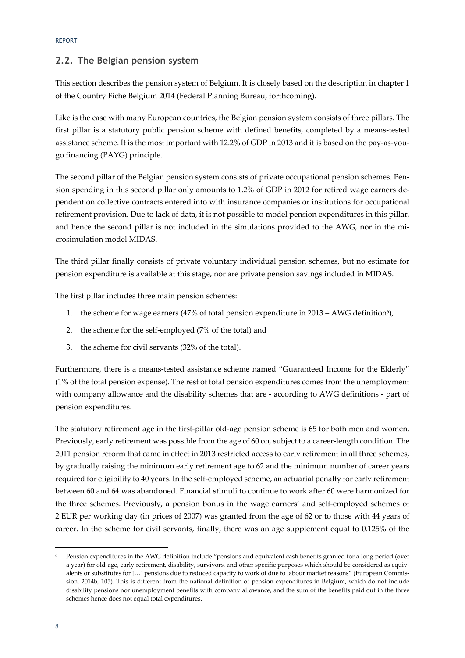## **2.2. The Belgian pension system**

This section describes the pension system of Belgium. It is closely based on the description in chapter 1 of the Country Fiche Belgium 2014 (Federal Planning Bureau, forthcoming).

Like is the case with many European countries, the Belgian pension system consists of three pillars. The first pillar is a statutory public pension scheme with defined benefits, completed by a means-tested assistance scheme. It is the most important with 12.2% of GDP in 2013 and it is based on the pay-as-yougo financing (PAYG) principle.

The second pillar of the Belgian pension system consists of private occupational pension schemes. Pension spending in this second pillar only amounts to 1.2% of GDP in 2012 for retired wage earners dependent on collective contracts entered into with insurance companies or institutions for occupational retirement provision. Due to lack of data, it is not possible to model pension expenditures in this pillar, and hence the second pillar is not included in the simulations provided to the AWG, nor in the microsimulation model MIDAS.

The third pillar finally consists of private voluntary individual pension schemes, but no estimate for pension expenditure is available at this stage, nor are private pension savings included in MIDAS.

The first pillar includes three main pension schemes:

- 1. the scheme for wage earners (47% of total pension expenditure in 2013 AWG definition<sup>6</sup>),
- 2. the scheme for the self-employed (7% of the total) and
- 3. the scheme for civil servants (32% of the total).

Furthermore, there is a means-tested assistance scheme named "Guaranteed Income for the Elderly" (1% of the total pension expense). The rest of total pension expenditures comes from the unemployment with company allowance and the disability schemes that are - according to AWG definitions - part of pension expenditures.

The statutory retirement age in the first-pillar old-age pension scheme is 65 for both men and women. Previously, early retirement was possible from the age of 60 on, subject to a career-length condition. The 2011 pension reform that came in effect in 2013 restricted access to early retirement in all three schemes, by gradually raising the minimum early retirement age to 62 and the minimum number of career years required for eligibility to 40 years. In the self-employed scheme, an actuarial penalty for early retirement between 60 and 64 was abandoned. Financial stimuli to continue to work after 60 were harmonized for the three schemes. Previously, a pension bonus in the wage earners' and self-employed schemes of 2 EUR per working day (in prices of 2007) was granted from the age of 62 or to those with 44 years of career. In the scheme for civil servants, finally, there was an age supplement equal to 0.125% of the

-

Pension expenditures in the AWG definition include "pensions and equivalent cash benefits granted for a long period (over a year) for old-age, early retirement, disability, survivors, and other specific purposes which should be considered as equivalents or substitutes for […] pensions due to reduced capacity to work of due to labour market reasons" (European Commission, 2014b, 105). This is different from the national definition of pension expenditures in Belgium, which do not include disability pensions nor unemployment benefits with company allowance, and the sum of the benefits paid out in the three schemes hence does not equal total expenditures.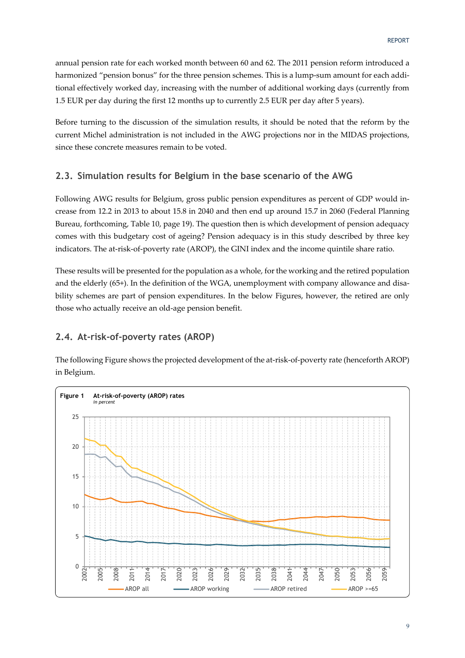annual pension rate for each worked month between 60 and 62. The 2011 pension reform introduced a harmonized "pension bonus" for the three pension schemes. This is a lump-sum amount for each additional effectively worked day, increasing with the number of additional working days (currently from 1.5 EUR per day during the first 12 months up to currently 2.5 EUR per day after 5 years).

Before turning to the discussion of the simulation results, it should be noted that the reform by the current Michel administration is not included in the AWG projections nor in the MIDAS projections, since these concrete measures remain to be voted.

#### **2.3. Simulation results for Belgium in the base scenario of the AWG**

Following AWG results for Belgium, gross public pension expenditures as percent of GDP would increase from 12.2 in 2013 to about 15.8 in 2040 and then end up around 15.7 in 2060 (Federal Planning Bureau, forthcoming, Table 10, page 19). The question then is which development of pension adequacy comes with this budgetary cost of ageing? Pension adequacy is in this study described by three key indicators. The at-risk-of-poverty rate (AROP), the GINI index and the income quintile share ratio.

These results will be presented for the population as a whole, for the working and the retired population and the elderly (65+). In the definition of the WGA, unemployment with company allowance and disability schemes are part of pension expenditures. In the below Figures, however, the retired are only those who actually receive an old-age pension benefit.

#### **2.4. At-risk-of-poverty rates (AROP)**

The following Figure shows the projected development of the at-risk-of-poverty rate (henceforth AROP) in Belgium.

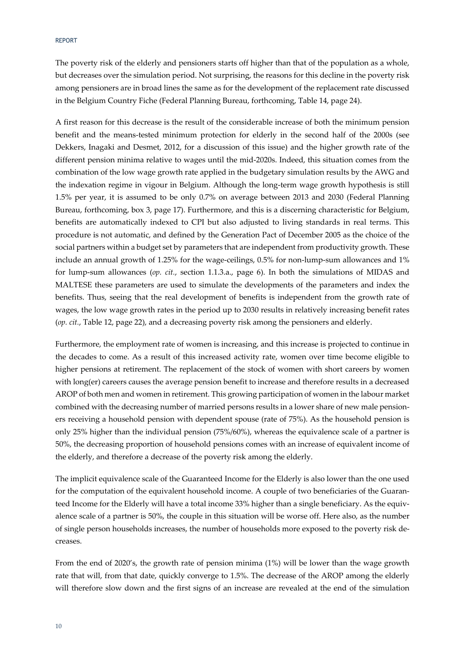#### REPORT

The poverty risk of the elderly and pensioners starts off higher than that of the population as a whole, but decreases over the simulation period. Not surprising, the reasons for this decline in the poverty risk among pensioners are in broad lines the same as for the development of the replacement rate discussed in the Belgium Country Fiche (Federal Planning Bureau, forthcoming, Table 14, page 24).

A first reason for this decrease is the result of the considerable increase of both the minimum pension benefit and the means-tested minimum protection for elderly in the second half of the 2000s (see Dekkers, Inagaki and Desmet, 2012, for a discussion of this issue) and the higher growth rate of the different pension minima relative to wages until the mid-2020s. Indeed, this situation comes from the combination of the low wage growth rate applied in the budgetary simulation results by the AWG and the indexation regime in vigour in Belgium. Although the long-term wage growth hypothesis is still 1.5% per year, it is assumed to be only 0.7% on average between 2013 and 2030 (Federal Planning Bureau, forthcoming, box 3, page 17). Furthermore, and this is a discerning characteristic for Belgium, benefits are automatically indexed to CPI but also adjusted to living standards in real terms. This procedure is not automatic, and defined by the Generation Pact of December 2005 as the choice of the social partners within a budget set by parameters that are independent from productivity growth. These include an annual growth of 1.25% for the wage-ceilings, 0.5% for non-lump-sum allowances and 1% for lump-sum allowances (*op. cit.*, section 1.1.3.a., page 6). In both the simulations of MIDAS and MALTESE these parameters are used to simulate the developments of the parameters and index the benefits. Thus, seeing that the real development of benefits is independent from the growth rate of wages, the low wage growth rates in the period up to 2030 results in relatively increasing benefit rates (*op. cit.*, Table 12, page 22), and a decreasing poverty risk among the pensioners and elderly.

Furthermore, the employment rate of women is increasing, and this increase is projected to continue in the decades to come. As a result of this increased activity rate, women over time become eligible to higher pensions at retirement. The replacement of the stock of women with short careers by women with long(er) careers causes the average pension benefit to increase and therefore results in a decreased AROP of both men and women in retirement. This growing participation of women in the labour market combined with the decreasing number of married persons results in a lower share of new male pensioners receiving a household pension with dependent spouse (rate of 75%). As the household pension is only 25% higher than the individual pension (75%/60%), whereas the equivalence scale of a partner is 50%, the decreasing proportion of household pensions comes with an increase of equivalent income of the elderly, and therefore a decrease of the poverty risk among the elderly.

The implicit equivalence scale of the Guaranteed Income for the Elderly is also lower than the one used for the computation of the equivalent household income. A couple of two beneficiaries of the Guaranteed Income for the Elderly will have a total income 33% higher than a single beneficiary. As the equivalence scale of a partner is 50%, the couple in this situation will be worse off. Here also, as the number of single person households increases, the number of households more exposed to the poverty risk decreases.

From the end of 2020's, the growth rate of pension minima (1%) will be lower than the wage growth rate that will, from that date, quickly converge to 1.5%. The decrease of the AROP among the elderly will therefore slow down and the first signs of an increase are revealed at the end of the simulation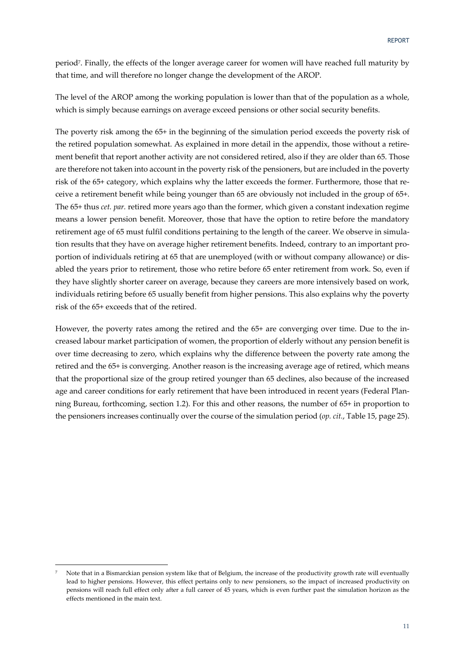period7. Finally, the effects of the longer average career for women will have reached full maturity by that time, and will therefore no longer change the development of the AROP.

The level of the AROP among the working population is lower than that of the population as a whole, which is simply because earnings on average exceed pensions or other social security benefits.

The poverty risk among the 65+ in the beginning of the simulation period exceeds the poverty risk of the retired population somewhat. As explained in more detail in the appendix, those without a retirement benefit that report another activity are not considered retired, also if they are older than 65. Those are therefore not taken into account in the poverty risk of the pensioners, but are included in the poverty risk of the 65+ category, which explains why the latter exceeds the former. Furthermore, those that receive a retirement benefit while being younger than 65 are obviously not included in the group of 65+. The 65+ thus *cet. par.* retired more years ago than the former, which given a constant indexation regime means a lower pension benefit. Moreover, those that have the option to retire before the mandatory retirement age of 65 must fulfil conditions pertaining to the length of the career. We observe in simulation results that they have on average higher retirement benefits. Indeed, contrary to an important proportion of individuals retiring at 65 that are unemployed (with or without company allowance) or disabled the years prior to retirement, those who retire before 65 enter retirement from work. So, even if they have slightly shorter career on average, because they careers are more intensively based on work, individuals retiring before 65 usually benefit from higher pensions. This also explains why the poverty risk of the 65+ exceeds that of the retired.

However, the poverty rates among the retired and the 65+ are converging over time. Due to the increased labour market participation of women, the proportion of elderly without any pension benefit is over time decreasing to zero, which explains why the difference between the poverty rate among the retired and the 65+ is converging. Another reason is the increasing average age of retired, which means that the proportional size of the group retired younger than 65 declines, also because of the increased age and career conditions for early retirement that have been introduced in recent years (Federal Planning Bureau, forthcoming, section 1.2). For this and other reasons, the number of 65+ in proportion to the pensioners increases continually over the course of the simulation period (*op. cit.*, Table 15, page 25).

-

<sup>7</sup> Note that in a Bismarckian pension system like that of Belgium, the increase of the productivity growth rate will eventually lead to higher pensions. However, this effect pertains only to new pensioners, so the impact of increased productivity on pensions will reach full effect only after a full career of 45 years, which is even further past the simulation horizon as the effects mentioned in the main text.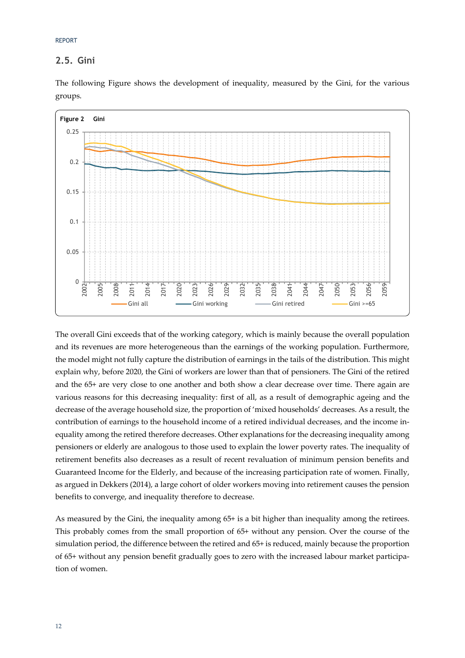REPORT

## **2.5. Gini**

The following Figure shows the development of inequality, measured by the Gini, for the various groups.



The overall Gini exceeds that of the working category, which is mainly because the overall population and its revenues are more heterogeneous than the earnings of the working population. Furthermore, the model might not fully capture the distribution of earnings in the tails of the distribution. This might explain why, before 2020, the Gini of workers are lower than that of pensioners. The Gini of the retired and the 65+ are very close to one another and both show a clear decrease over time. There again are various reasons for this decreasing inequality: first of all, as a result of demographic ageing and the decrease of the average household size, the proportion of 'mixed households' decreases. As a result, the contribution of earnings to the household income of a retired individual decreases, and the income inequality among the retired therefore decreases. Other explanations for the decreasing inequality among pensioners or elderly are analogous to those used to explain the lower poverty rates. The inequality of retirement benefits also decreases as a result of recent revaluation of minimum pension benefits and Guaranteed Income for the Elderly, and because of the increasing participation rate of women. Finally, as argued in Dekkers (2014), a large cohort of older workers moving into retirement causes the pension benefits to converge, and inequality therefore to decrease.

As measured by the Gini, the inequality among 65+ is a bit higher than inequality among the retirees. This probably comes from the small proportion of 65+ without any pension. Over the course of the simulation period, the difference between the retired and 65+ is reduced, mainly because the proportion of 65+ without any pension benefit gradually goes to zero with the increased labour market participation of women.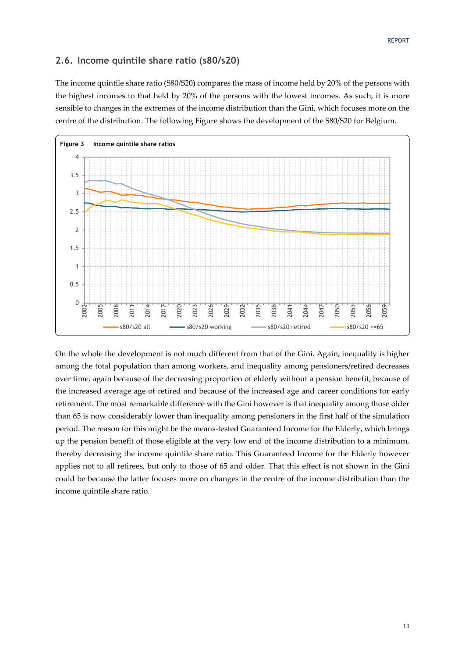#### **2.6. Income quintile share ratio (s80/s20)**

The income quintile share ratio (S80/S20) compares the mass of income held by 20% of the persons with the highest incomes to that held by 20% of the persons with the lowest incomes. As such, it is more sensible to changes in the extremes of the income distribution than the Gini, which focuses more on the centre of the distribution. The following Figure shows the development of the S80/S20 for Belgium.



On the whole the development is not much different from that of the Gini. Again, inequality is higher among the total population than among workers, and inequality among pensioners/retired decreases over time, again because of the decreasing proportion of elderly without a pension benefit, because of the increased average age of retired and because of the increased age and career conditions for early retirement. The most remarkable difference with the Gini however is that inequality among those older than 65 is now considerably lower than inequality among pensioners in the first half of the simulation period. The reason for this might be the means-tested Guaranteed Income for the Elderly, which brings up the pension benefit of those eligible at the very low end of the income distribution to a minimum, thereby decreasing the income quintile share ratio. This Guaranteed Income for the Elderly however applies not to all retirees, but only to those of 65 and older. That this effect is not shown in the Gini could be because the latter focuses more on changes in the centre of the income distribution than the income quintile share ratio.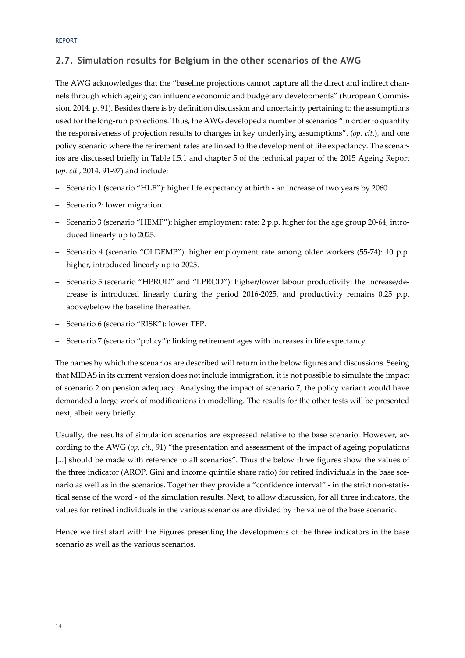## **2.7. Simulation results for Belgium in the other scenarios of the AWG**

The AWG acknowledges that the "baseline projections cannot capture all the direct and indirect channels through which ageing can influence economic and budgetary developments" (European Commission, 2014, p. 91). Besides there is by definition discussion and uncertainty pertaining to the assumptions used for the long-run projections. Thus, the AWG developed a number of scenarios "in order to quantify the responsiveness of projection results to changes in key underlying assumptions". (*op. cit.*), and one policy scenario where the retirement rates are linked to the development of life expectancy. The scenarios are discussed briefly in Table I.5.1 and chapter 5 of the technical paper of the 2015 Ageing Report (*op. cit.*, 2014, 91-97) and include:

- Scenario 1 (scenario "HLE"): higher life expectancy at birth an increase of two years by 2060
- Scenario 2: lower migration.
- Scenario 3 (scenario "HEMP"): higher employment rate: 2 p.p. higher for the age group 20-64, introduced linearly up to 2025.
- Scenario 4 (scenario "OLDEMP"): higher employment rate among older workers (55-74): 10 p.p. higher, introduced linearly up to 2025.
- Scenario 5 (scenario "HPROD" and "LPROD"): higher/lower labour productivity: the increase/decrease is introduced linearly during the period 2016-2025, and productivity remains 0.25 p.p. above/below the baseline thereafter.
- Scenario 6 (scenario "RISK"): lower TFP.
- Scenario 7 (scenario "policy"): linking retirement ages with increases in life expectancy.

The names by which the scenarios are described will return in the below figures and discussions. Seeing that MIDAS in its current version does not include immigration, it is not possible to simulate the impact of scenario 2 on pension adequacy. Analysing the impact of scenario 7, the policy variant would have demanded a large work of modifications in modelling. The results for the other tests will be presented next, albeit very briefly.

Usually, the results of simulation scenarios are expressed relative to the base scenario. However, according to the AWG (*op. cit.*, 91) "the presentation and assessment of the impact of ageing populations [...] should be made with reference to all scenarios". Thus the below three figures show the values of the three indicator (AROP, Gini and income quintile share ratio) for retired individuals in the base scenario as well as in the scenarios. Together they provide a "confidence interval" - in the strict non-statistical sense of the word - of the simulation results. Next, to allow discussion, for all three indicators, the values for retired individuals in the various scenarios are divided by the value of the base scenario.

Hence we first start with the Figures presenting the developments of the three indicators in the base scenario as well as the various scenarios.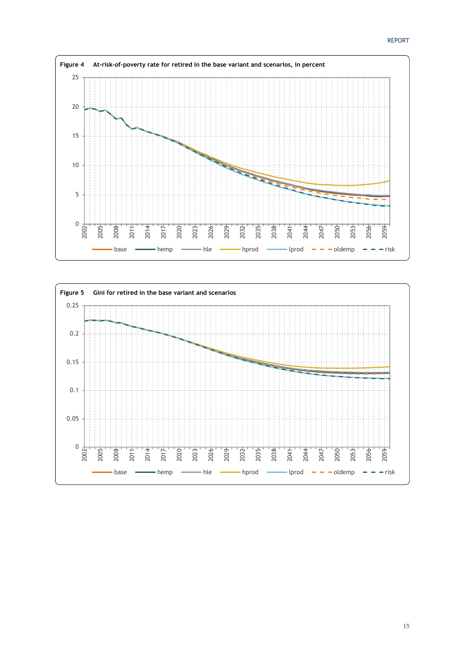

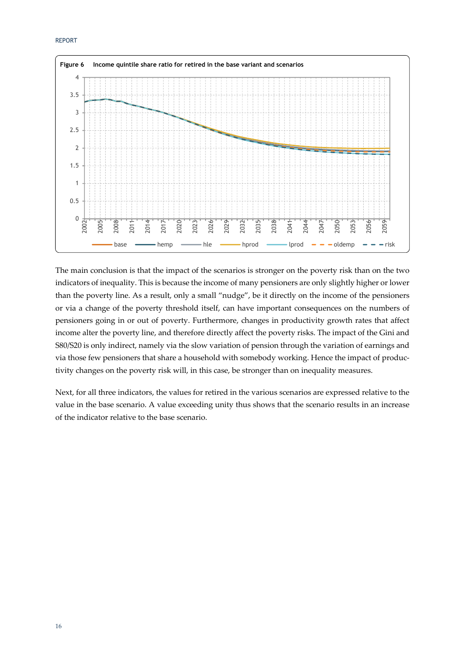

The main conclusion is that the impact of the scenarios is stronger on the poverty risk than on the two indicators of inequality. This is because the income of many pensioners are only slightly higher or lower than the poverty line. As a result, only a small "nudge", be it directly on the income of the pensioners or via a change of the poverty threshold itself, can have important consequences on the numbers of pensioners going in or out of poverty. Furthermore, changes in productivity growth rates that affect income alter the poverty line, and therefore directly affect the poverty risks. The impact of the Gini and S80/S20 is only indirect, namely via the slow variation of pension through the variation of earnings and via those few pensioners that share a household with somebody working. Hence the impact of productivity changes on the poverty risk will, in this case, be stronger than on inequality measures.

Next, for all three indicators, the values for retired in the various scenarios are expressed relative to the value in the base scenario. A value exceeding unity thus shows that the scenario results in an increase of the indicator relative to the base scenario.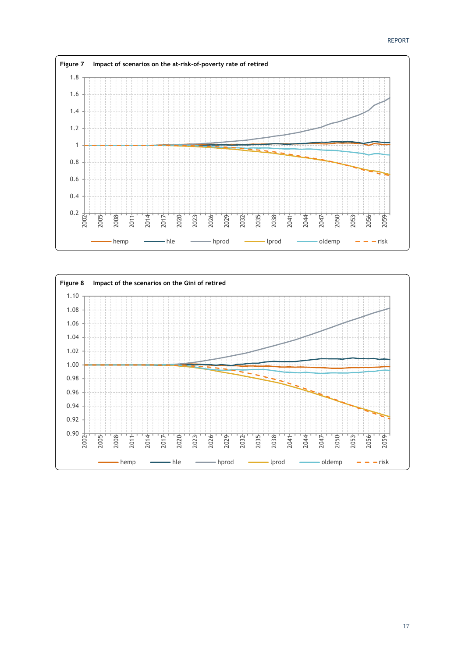

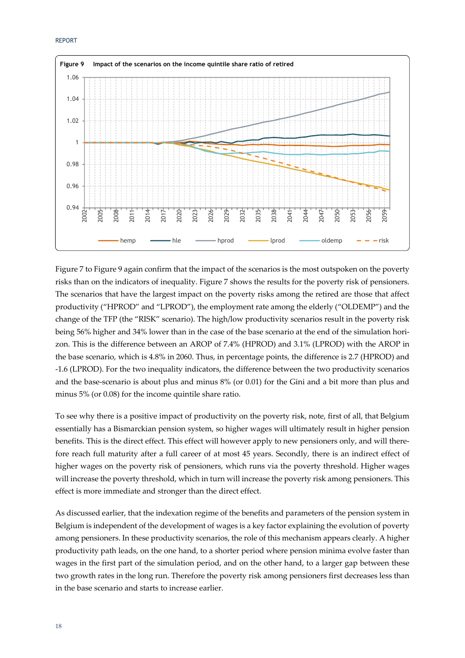

Figure 7 to Figure 9 again confirm that the impact of the scenarios is the most outspoken on the poverty risks than on the indicators of inequality. Figure 7 shows the results for the poverty risk of pensioners. The scenarios that have the largest impact on the poverty risks among the retired are those that affect productivity ("HPROD" and "LPROD"), the employment rate among the elderly ("OLDEMP") and the change of the TFP (the "RISK" scenario). The high/low productivity scenarios result in the poverty risk being 56% higher and 34% lower than in the case of the base scenario at the end of the simulation horizon. This is the difference between an AROP of 7.4% (HPROD) and 3.1% (LPROD) with the AROP in the base scenario, which is 4.8% in 2060. Thus, in percentage points, the difference is 2.7 (HPROD) and -1.6 (LPROD). For the two inequality indicators, the difference between the two productivity scenarios and the base-scenario is about plus and minus 8% (or 0.01) for the Gini and a bit more than plus and minus 5% (or 0.08) for the income quintile share ratio.

To see why there is a positive impact of productivity on the poverty risk, note, first of all, that Belgium essentially has a Bismarckian pension system, so higher wages will ultimately result in higher pension benefits. This is the direct effect. This effect will however apply to new pensioners only, and will therefore reach full maturity after a full career of at most 45 years. Secondly, there is an indirect effect of higher wages on the poverty risk of pensioners, which runs via the poverty threshold. Higher wages will increase the poverty threshold, which in turn will increase the poverty risk among pensioners. This effect is more immediate and stronger than the direct effect.

As discussed earlier, that the indexation regime of the benefits and parameters of the pension system in Belgium is independent of the development of wages is a key factor explaining the evolution of poverty among pensioners. In these productivity scenarios, the role of this mechanism appears clearly. A higher productivity path leads, on the one hand, to a shorter period where pension minima evolve faster than wages in the first part of the simulation period, and on the other hand, to a larger gap between these two growth rates in the long run. Therefore the poverty risk among pensioners first decreases less than in the base scenario and starts to increase earlier.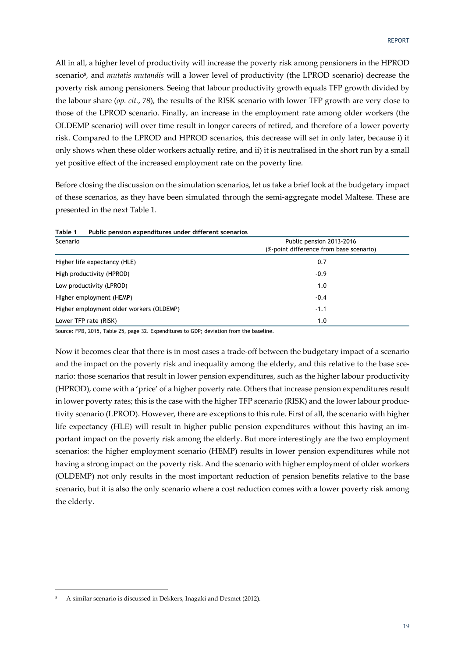All in all, a higher level of productivity will increase the poverty risk among pensioners in the HPROD scenario8, and *mutatis mutandis* will a lower level of productivity (the LPROD scenario) decrease the poverty risk among pensioners. Seeing that labour productivity growth equals TFP growth divided by the labour share (*op. cit.*, 78), the results of the RISK scenario with lower TFP growth are very close to those of the LPROD scenario. Finally, an increase in the employment rate among older workers (the OLDEMP scenario) will over time result in longer careers of retired, and therefore of a lower poverty risk. Compared to the LPROD and HPROD scenarios, this decrease will set in only later, because i) it only shows when these older workers actually retire, and ii) it is neutralised in the short run by a small yet positive effect of the increased employment rate on the poverty line.

Before closing the discussion on the simulation scenarios, let us take a brief look at the budgetary impact of these scenarios, as they have been simulated through the semi-aggregate model Maltese. These are presented in the next Table 1.

| Table 1<br>Public pension expenditures under different scenarios |                                                                     |
|------------------------------------------------------------------|---------------------------------------------------------------------|
| Scenario                                                         | Public pension 2013-2016<br>(%-point difference from base scenario) |
| Higher life expectancy (HLE)                                     | 0.7                                                                 |
| High productivity (HPROD)                                        | $-0.9$                                                              |
| Low productivity (LPROD)                                         | 1.0                                                                 |
| Higher employment (HEMP)                                         | $-0.4$                                                              |
| Higher employment older workers (OLDEMP)                         | $-1.1$                                                              |
| Lower TFP rate (RISK)                                            | 1.0                                                                 |

**Table 1 Public pension expenditures under different scenarios** 

Source: FPB, 2015, Table 25, page 32. Expenditures to GDP; deviation from the baseline.

Now it becomes clear that there is in most cases a trade-off between the budgetary impact of a scenario and the impact on the poverty risk and inequality among the elderly, and this relative to the base scenario: those scenarios that result in lower pension expenditures, such as the higher labour productivity (HPROD), come with a 'price' of a higher poverty rate. Others that increase pension expenditures result in lower poverty rates; this is the case with the higher TFP scenario (RISK) and the lower labour productivity scenario (LPROD). However, there are exceptions to this rule. First of all, the scenario with higher life expectancy (HLE) will result in higher public pension expenditures without this having an important impact on the poverty risk among the elderly. But more interestingly are the two employment scenarios: the higher employment scenario (HEMP) results in lower pension expenditures while not having a strong impact on the poverty risk. And the scenario with higher employment of older workers (OLDEMP) not only results in the most important reduction of pension benefits relative to the base scenario, but it is also the only scenario where a cost reduction comes with a lower poverty risk among the elderly.

-

<sup>8</sup> A similar scenario is discussed in Dekkers, Inagaki and Desmet (2012).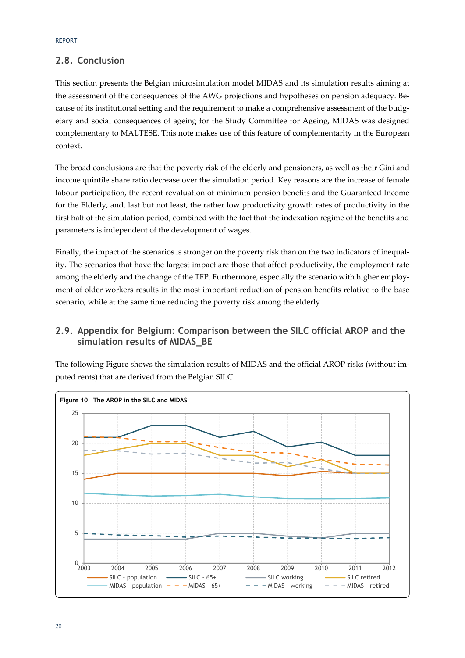## **2.8. Conclusion**

This section presents the Belgian microsimulation model MIDAS and its simulation results aiming at the assessment of the consequences of the AWG projections and hypotheses on pension adequacy. Because of its institutional setting and the requirement to make a comprehensive assessment of the budgetary and social consequences of ageing for the Study Committee for Ageing, MIDAS was designed complementary to MALTESE. This note makes use of this feature of complementarity in the European context.

The broad conclusions are that the poverty risk of the elderly and pensioners, as well as their Gini and income quintile share ratio decrease over the simulation period. Key reasons are the increase of female labour participation, the recent revaluation of minimum pension benefits and the Guaranteed Income for the Elderly, and, last but not least, the rather low productivity growth rates of productivity in the first half of the simulation period, combined with the fact that the indexation regime of the benefits and parameters is independent of the development of wages.

Finally, the impact of the scenarios is stronger on the poverty risk than on the two indicators of inequality. The scenarios that have the largest impact are those that affect productivity, the employment rate among the elderly and the change of the TFP. Furthermore, especially the scenario with higher employment of older workers results in the most important reduction of pension benefits relative to the base scenario, while at the same time reducing the poverty risk among the elderly.

## **2.9. Appendix for Belgium: Comparison between the SILC official AROP and the simulation results of MIDAS\_BE**

The following Figure shows the simulation results of MIDAS and the official AROP risks (without imputed rents) that are derived from the Belgian SILC.

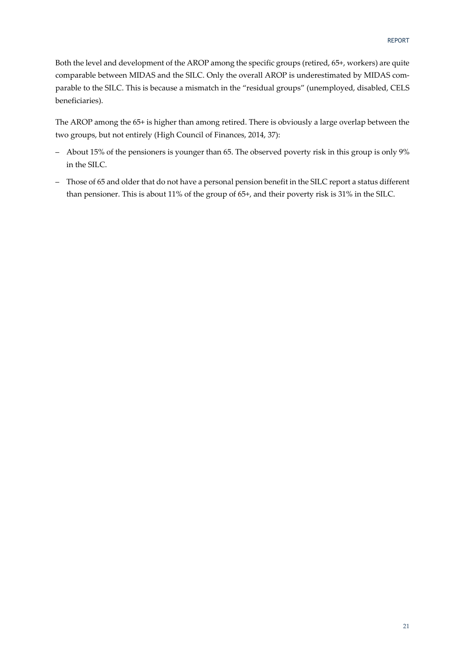Both the level and development of the AROP among the specific groups (retired, 65+, workers) are quite comparable between MIDAS and the SILC. Only the overall AROP is underestimated by MIDAS comparable to the SILC. This is because a mismatch in the "residual groups" (unemployed, disabled, CELS beneficiaries).

The AROP among the 65+ is higher than among retired. There is obviously a large overlap between the two groups, but not entirely (High Council of Finances, 2014, 37):

- About 15% of the pensioners is younger than 65. The observed poverty risk in this group is only 9% in the SILC.
- Those of 65 and older that do not have a personal pension benefit in the SILC report a status different than pensioner. This is about 11% of the group of 65+, and their poverty risk is 31% in the SILC.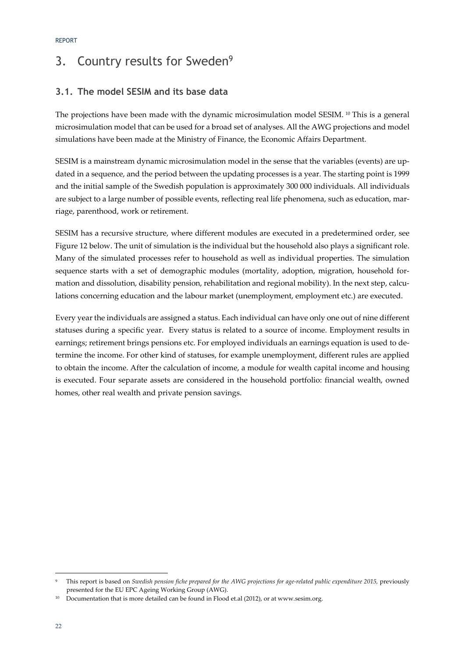# 3. Country results for Sweden<sup>9</sup>

## **3.1. The model SESIM and its base data**

The projections have been made with the dynamic microsimulation model SESIM.<sup>10</sup> This is a general microsimulation model that can be used for a broad set of analyses. All the AWG projections and model simulations have been made at the Ministry of Finance, the Economic Affairs Department.

SESIM is a mainstream dynamic microsimulation model in the sense that the variables (events) are updated in a sequence, and the period between the updating processes is a year. The starting point is 1999 and the initial sample of the Swedish population is approximately 300 000 individuals. All individuals are subject to a large number of possible events, reflecting real life phenomena, such as education, marriage, parenthood, work or retirement.

SESIM has a recursive structure, where different modules are executed in a predetermined order, see Figure 12 below. The unit of simulation is the individual but the household also plays a significant role. Many of the simulated processes refer to household as well as individual properties. The simulation sequence starts with a set of demographic modules (mortality, adoption, migration, household formation and dissolution, disability pension, rehabilitation and regional mobility). In the next step, calculations concerning education and the labour market (unemployment, employment etc.) are executed.

Every year the individuals are assigned a status. Each individual can have only one out of nine different statuses during a specific year. Every status is related to a source of income. Employment results in earnings; retirement brings pensions etc. For employed individuals an earnings equation is used to determine the income. For other kind of statuses, for example unemployment, different rules are applied to obtain the income. After the calculation of income, a module for wealth capital income and housing is executed. Four separate assets are considered in the household portfolio: financial wealth, owned homes, other real wealth and private pension savings.

<sup>-</sup>This report is based on *Swedish pension fiche prepared for the AWG projections for age-related public expenditure 2015*, previously presented for the EU EPC Ageing Working Group (AWG).

<sup>&</sup>lt;sup>10</sup> Documentation that is more detailed can be found in Flood et.al (2012), or at www.sesim.org.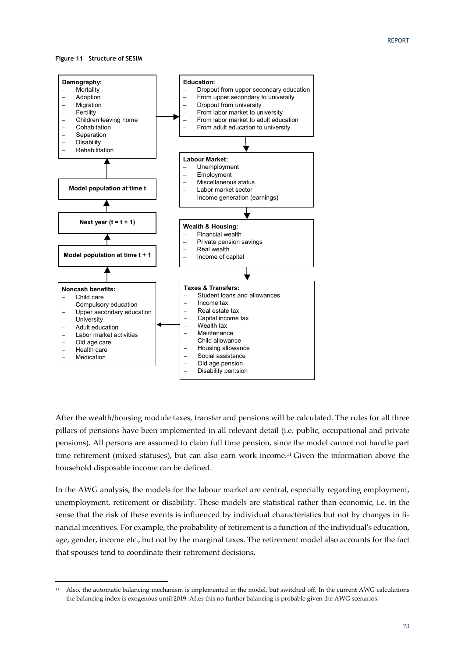#### **Figure 11 Structure of SESIM**

-



After the wealth/housing module taxes, transfer and pensions will be calculated. The rules for all three pillars of pensions have been implemented in all relevant detail (i.e. public, occupational and private pensions). All persons are assumed to claim full time pension, since the model cannot not handle part time retirement (mixed statuses), but can also earn work income.11 Given the information above the household disposable income can be defined.

In the AWG analysis, the models for the labour market are central, especially regarding employment, unemployment, retirement or disability. These models are statistical rather than economic, i.e. in the sense that the risk of these events is influenced by individual characteristics but not by changes in financial incentives. For example, the probability of retirement is a function of the individual's education, age, gender, income etc., but not by the marginal taxes. The retirement model also accounts for the fact that spouses tend to coordinate their retirement decisions.

<sup>11</sup> Also, the automatic balancing mechanism is implemented in the model, but switched off. In the current AWG calculations the balancing index is exogenous until 2019. After this no further balancing is probable given the AWG scenarios.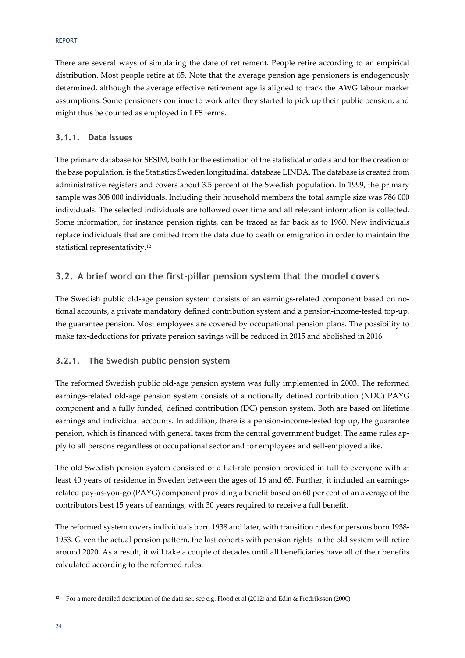#### REPORT

There are several ways of simulating the date of retirement. People retire according to an empirical distribution. Most people retire at 65. Note that the average pension age pensioners is endogenously determined, although the average effective retirement age is aligned to track the AWG labour market assumptions. Some pensioners continue to work after they started to pick up their public pension, and might thus be counted as employed in LFS terms.

#### **3.1.1. Data Issues**

The primary database for SESIM, both for the estimation of the statistical models and for the creation of the base population, is the Statistics Sweden longitudinal database LINDA. The database is created from administrative registers and covers about 3.5 percent of the Swedish population. In 1999, the primary sample was 308 000 individuals. Including their household members the total sample size was 786 000 individuals. The selected individuals are followed over time and all relevant information is collected. Some information, for instance pension rights, can be traced as far back as to 1960. New individuals replace individuals that are omitted from the data due to death or emigration in order to maintain the statistical representativity.12

## **3.2. A brief word on the first-pillar pension system that the model covers**

The Swedish public old-age pension system consists of an earnings-related component based on notional accounts, a private mandatory defined contribution system and a pension-income-tested top-up, the guarantee pension. Most employees are covered by occupational pension plans. The possibility to make tax-deductions for private pension savings will be reduced in 2015 and abolished in 2016

#### **3.2.1. The Swedish public pension system**

The reformed Swedish public old-age pension system was fully implemented in 2003. The reformed earnings-related old-age pension system consists of a notionally defined contribution (NDC) PAYG component and a fully funded, defined contribution (DC) pension system. Both are based on lifetime earnings and individual accounts. In addition, there is a pension-income-tested top up, the guarantee pension, which is financed with general taxes from the central government budget. The same rules apply to all persons regardless of occupational sector and for employees and self-employed alike.

The old Swedish pension system consisted of a flat-rate pension provided in full to everyone with at least 40 years of residence in Sweden between the ages of 16 and 65. Further, it included an earningsrelated pay-as-you-go (PAYG) component providing a benefit based on 60 per cent of an average of the contributors best 15 years of earnings, with 30 years required to receive a full benefit.

The reformed system covers individuals born 1938 and later, with transition rules for persons born 1938- 1953. Given the actual pension pattern, the last cohorts with pension rights in the old system will retire around 2020. As a result, it will take a couple of decades until all beneficiaries have all of their benefits calculated according to the reformed rules.

-

<sup>12</sup> For a more detailed description of the data set, see e.g. Flood et al (2012) and Edin & Fredriksson (2000).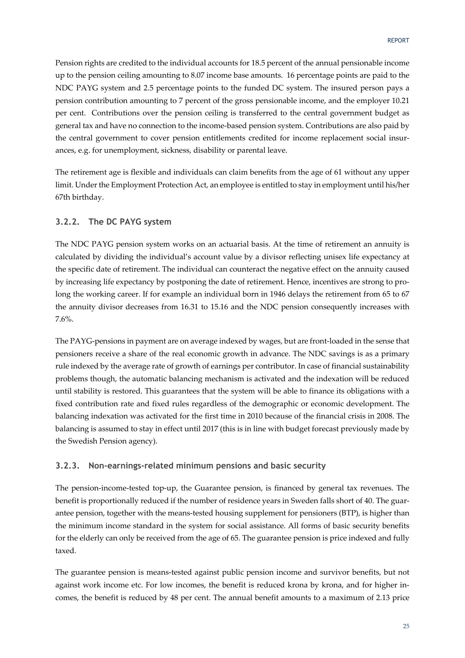Pension rights are credited to the individual accounts for 18.5 percent of the annual pensionable income up to the pension ceiling amounting to 8.07 income base amounts. 16 percentage points are paid to the NDC PAYG system and 2.5 percentage points to the funded DC system. The insured person pays a pension contribution amounting to 7 percent of the gross pensionable income, and the employer 10.21 per cent. Contributions over the pension ceiling is transferred to the central government budget as general tax and have no connection to the income-based pension system. Contributions are also paid by the central government to cover pension entitlements credited for income replacement social insurances, e.g. for unemployment, sickness, disability or parental leave.

The retirement age is flexible and individuals can claim benefits from the age of 61 without any upper limit. Under the Employment Protection Act, an employee is entitled to stay in employment until his/her 67th birthday.

#### **3.2.2. The DC PAYG system**

The NDC PAYG pension system works on an actuarial basis. At the time of retirement an annuity is calculated by dividing the individual's account value by a divisor reflecting unisex life expectancy at the specific date of retirement. The individual can counteract the negative effect on the annuity caused by increasing life expectancy by postponing the date of retirement. Hence, incentives are strong to prolong the working career. If for example an individual born in 1946 delays the retirement from 65 to 67 the annuity divisor decreases from 16.31 to 15.16 and the NDC pension consequently increases with 7.6%.

The PAYG-pensions in payment are on average indexed by wages, but are front-loaded in the sense that pensioners receive a share of the real economic growth in advance. The NDC savings is as a primary rule indexed by the average rate of growth of earnings per contributor. In case of financial sustainability problems though, the automatic balancing mechanism is activated and the indexation will be reduced until stability is restored. This guarantees that the system will be able to finance its obligations with a fixed contribution rate and fixed rules regardless of the demographic or economic development. The balancing indexation was activated for the first time in 2010 because of the financial crisis in 2008. The balancing is assumed to stay in effect until 2017 (this is in line with budget forecast previously made by the Swedish Pension agency).

#### **3.2.3. Non-earnings-related minimum pensions and basic security**

The pension-income-tested top-up, the Guarantee pension, is financed by general tax revenues. The benefit is proportionally reduced if the number of residence years in Sweden falls short of 40. The guarantee pension, together with the means-tested housing supplement for pensioners (BTP), is higher than the minimum income standard in the system for social assistance. All forms of basic security benefits for the elderly can only be received from the age of 65. The guarantee pension is price indexed and fully taxed.

The guarantee pension is means-tested against public pension income and survivor benefits, but not against work income etc. For low incomes, the benefit is reduced krona by krona, and for higher incomes, the benefit is reduced by 48 per cent. The annual benefit amounts to a maximum of 2.13 price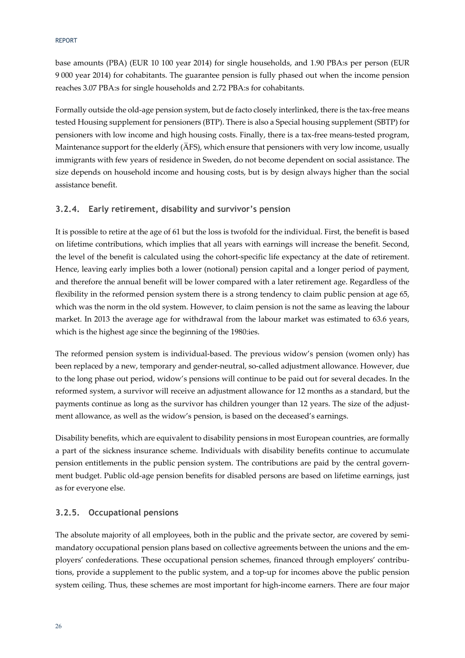#### REPORT

base amounts (PBA) (EUR 10 100 year 2014) for single households, and 1.90 PBA:s per person (EUR 9 000 year 2014) for cohabitants. The guarantee pension is fully phased out when the income pension reaches 3.07 PBA:s for single households and 2.72 PBA:s for cohabitants.

Formally outside the old-age pension system, but de facto closely interlinked, there is the tax-free means tested Housing supplement for pensioners (BTP). There is also a Special housing supplement (SBTP) for pensioners with low income and high housing costs. Finally, there is a tax-free means-tested program, Maintenance support for the elderly (ÄFS), which ensure that pensioners with very low income, usually immigrants with few years of residence in Sweden, do not become dependent on social assistance. The size depends on household income and housing costs, but is by design always higher than the social assistance benefit.

#### **3.2.4. Early retirement, disability and survivor's pension**

It is possible to retire at the age of 61 but the loss is twofold for the individual. First, the benefit is based on lifetime contributions, which implies that all years with earnings will increase the benefit. Second, the level of the benefit is calculated using the cohort-specific life expectancy at the date of retirement. Hence, leaving early implies both a lower (notional) pension capital and a longer period of payment, and therefore the annual benefit will be lower compared with a later retirement age. Regardless of the flexibility in the reformed pension system there is a strong tendency to claim public pension at age 65, which was the norm in the old system. However, to claim pension is not the same as leaving the labour market. In 2013 the average age for withdrawal from the labour market was estimated to 63.6 years, which is the highest age since the beginning of the 1980:ies.

The reformed pension system is individual-based. The previous widow's pension (women only) has been replaced by a new, temporary and gender-neutral, so-called adjustment allowance. However, due to the long phase out period, widow's pensions will continue to be paid out for several decades. In the reformed system, a survivor will receive an adjustment allowance for 12 months as a standard, but the payments continue as long as the survivor has children younger than 12 years. The size of the adjustment allowance, as well as the widow's pension, is based on the deceased's earnings.

Disability benefits, which are equivalent to disability pensions in most European countries, are formally a part of the sickness insurance scheme. Individuals with disability benefits continue to accumulate pension entitlements in the public pension system. The contributions are paid by the central government budget. Public old-age pension benefits for disabled persons are based on lifetime earnings, just as for everyone else.

#### **3.2.5. Occupational pensions**

The absolute majority of all employees, both in the public and the private sector, are covered by semimandatory occupational pension plans based on collective agreements between the unions and the employers' confederations. These occupational pension schemes, financed through employers' contributions, provide a supplement to the public system, and a top-up for incomes above the public pension system ceiling. Thus, these schemes are most important for high-income earners. There are four major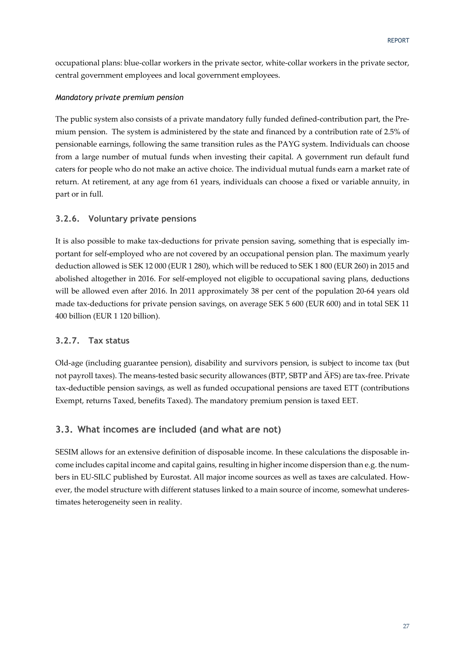occupational plans: blue-collar workers in the private sector, white-collar workers in the private sector, central government employees and local government employees.

#### *Mandatory private premium pension*

The public system also consists of a private mandatory fully funded defined-contribution part, the Premium pension. The system is administered by the state and financed by a contribution rate of 2.5% of pensionable earnings, following the same transition rules as the PAYG system. Individuals can choose from a large number of mutual funds when investing their capital. A government run default fund caters for people who do not make an active choice. The individual mutual funds earn a market rate of return. At retirement, at any age from 61 years, individuals can choose a fixed or variable annuity, in part or in full.

#### **3.2.6. Voluntary private pensions**

It is also possible to make tax-deductions for private pension saving, something that is especially important for self-employed who are not covered by an occupational pension plan. The maximum yearly deduction allowed is SEK 12 000 (EUR 1 280), which will be reduced to SEK 1 800 (EUR 260) in 2015 and abolished altogether in 2016. For self-employed not eligible to occupational saving plans, deductions will be allowed even after 2016. In 2011 approximately 38 per cent of the population 20-64 years old made tax-deductions for private pension savings, on average SEK 5 600 (EUR 600) and in total SEK 11 400 billion (EUR 1 120 billion).

#### **3.2.7. Tax status**

Old-age (including guarantee pension), disability and survivors pension, is subject to income tax (but not payroll taxes). The means-tested basic security allowances (BTP, SBTP and ÄFS) are tax-free. Private tax-deductible pension savings, as well as funded occupational pensions are taxed ETT (contributions Exempt, returns Taxed, benefits Taxed). The mandatory premium pension is taxed EET.

## **3.3. What incomes are included (and what are not)**

SESIM allows for an extensive definition of disposable income. In these calculations the disposable income includes capital income and capital gains, resulting in higher income dispersion than e.g. the numbers in EU-SILC published by Eurostat. All major income sources as well as taxes are calculated. However, the model structure with different statuses linked to a main source of income, somewhat underestimates heterogeneity seen in reality.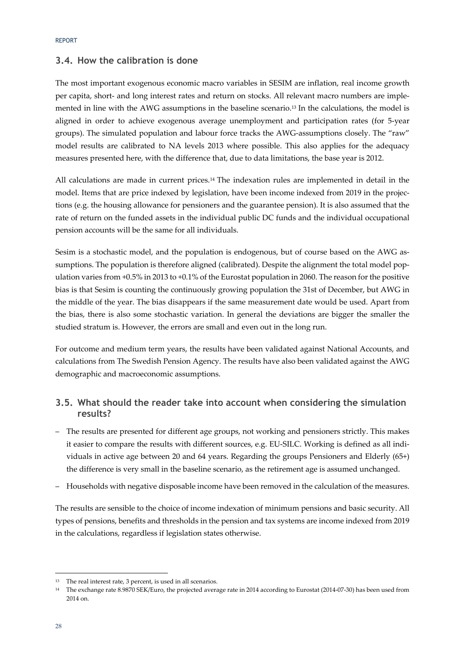#### **3.4. How the calibration is done**

The most important exogenous economic macro variables in SESIM are inflation, real income growth per capita, short- and long interest rates and return on stocks. All relevant macro numbers are implemented in line with the AWG assumptions in the baseline scenario.13 In the calculations, the model is aligned in order to achieve exogenous average unemployment and participation rates (for 5-year groups). The simulated population and labour force tracks the AWG-assumptions closely. The "raw" model results are calibrated to NA levels 2013 where possible. This also applies for the adequacy measures presented here, with the difference that, due to data limitations, the base year is 2012.

All calculations are made in current prices.14 The indexation rules are implemented in detail in the model. Items that are price indexed by legislation, have been income indexed from 2019 in the projections (e.g. the housing allowance for pensioners and the guarantee pension). It is also assumed that the rate of return on the funded assets in the individual public DC funds and the individual occupational pension accounts will be the same for all individuals.

Sesim is a stochastic model, and the population is endogenous, but of course based on the AWG assumptions. The population is therefore aligned (calibrated). Despite the alignment the total model population varies from +0.5% in 2013 to +0.1% of the Eurostat population in 2060. The reason for the positive bias is that Sesim is counting the continuously growing population the 31st of December, but AWG in the middle of the year. The bias disappears if the same measurement date would be used. Apart from the bias, there is also some stochastic variation. In general the deviations are bigger the smaller the studied stratum is. However, the errors are small and even out in the long run.

For outcome and medium term years, the results have been validated against National Accounts, and calculations from The Swedish Pension Agency. The results have also been validated against the AWG demographic and macroeconomic assumptions.

## **3.5. What should the reader take into account when considering the simulation results?**

- The results are presented for different age groups, not working and pensioners strictly. This makes it easier to compare the results with different sources, e.g. EU-SILC. Working is defined as all individuals in active age between 20 and 64 years. Regarding the groups Pensioners and Elderly (65+) the difference is very small in the baseline scenario, as the retirement age is assumed unchanged.
- Households with negative disposable income have been removed in the calculation of the measures.

The results are sensible to the choice of income indexation of minimum pensions and basic security. All types of pensions, benefits and thresholds in the pension and tax systems are income indexed from 2019 in the calculations, regardless if legislation states otherwise.

-

<sup>&</sup>lt;sup>13</sup> The real interest rate, 3 percent, is used in all scenarios.

<sup>14</sup> The exchange rate 8.9870 SEK/Euro, the projected average rate in 2014 according to Eurostat (2014-07-30) has been used from 2014 on.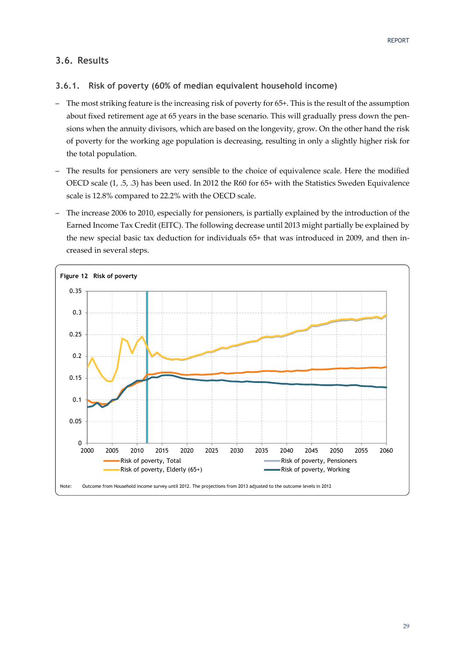## **3.6. Results**

## **3.6.1. Risk of poverty (60% of median equivalent household income)**

- The most striking feature is the increasing risk of poverty for 65+. This is the result of the assumption about fixed retirement age at 65 years in the base scenario. This will gradually press down the pensions when the annuity divisors, which are based on the longevity, grow. On the other hand the risk of poverty for the working age population is decreasing, resulting in only a slightly higher risk for the total population.
- The results for pensioners are very sensible to the choice of equivalence scale. Here the modified OECD scale (1, .5, .3) has been used. In 2012 the R60 for 65+ with the Statistics Sweden Equivalence scale is 12.8% compared to 22.2% with the OECD scale.
- The increase 2006 to 2010, especially for pensioners, is partially explained by the introduction of the Earned Income Tax Credit (EITC). The following decrease until 2013 might partially be explained by the new special basic tax deduction for individuals 65+ that was introduced in 2009, and then increased in several steps.

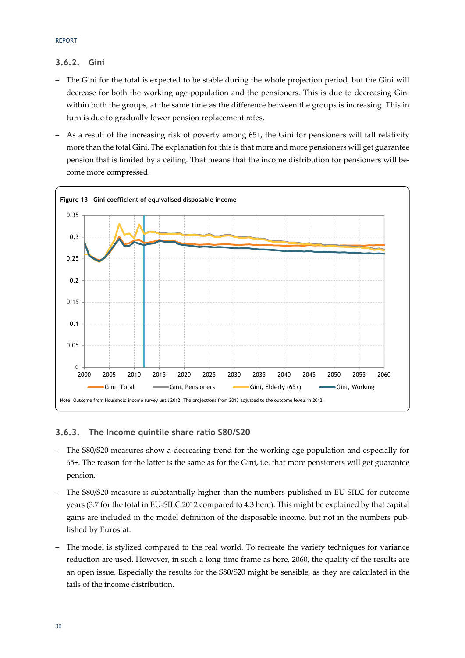### **3.6.2. Gini**

- The Gini for the total is expected to be stable during the whole projection period, but the Gini will decrease for both the working age population and the pensioners. This is due to decreasing Gini within both the groups, at the same time as the difference between the groups is increasing. This in turn is due to gradually lower pension replacement rates.
- As a result of the increasing risk of poverty among 65+, the Gini for pensioners will fall relativity more than the total Gini. The explanation for this is that more and more pensioners will get guarantee pension that is limited by a ceiling. That means that the income distribution for pensioners will become more compressed.



#### **3.6.3. The Income quintile share ratio S80/S20**

- The S80/S20 measures show a decreasing trend for the working age population and especially for 65+. The reason for the latter is the same as for the Gini, i.e. that more pensioners will get guarantee pension.
- The S80/S20 measure is substantially higher than the numbers published in EU-SILC for outcome years (3.7 for the total in EU-SILC 2012 compared to 4.3 here). This might be explained by that capital gains are included in the model definition of the disposable income, but not in the numbers published by Eurostat.
- The model is stylized compared to the real world. To recreate the variety techniques for variance reduction are used. However, in such a long time frame as here, 2060, the quality of the results are an open issue. Especially the results for the S80/S20 might be sensible, as they are calculated in the tails of the income distribution.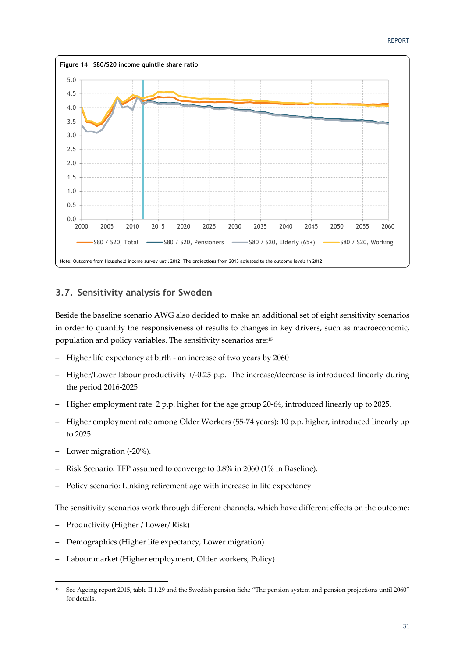

## **3.7. Sensitivity analysis for Sweden**

Beside the baseline scenario AWG also decided to make an additional set of eight sensitivity scenarios in order to quantify the responsiveness of results to changes in key drivers, such as macroeconomic, population and policy variables. The sensitivity scenarios are:15

- Higher life expectancy at birth an increase of two years by 2060
- Higher/Lower labour productivity +/-0.25 p.p. The increase/decrease is introduced linearly during the period 2016-2025
- Higher employment rate: 2 p.p. higher for the age group 20-64, introduced linearly up to 2025.
- Higher employment rate among Older Workers (55-74 years): 10 p.p. higher, introduced linearly up to 2025.
- Lower migration (-20%).

-

- Risk Scenario: TFP assumed to converge to 0.8% in 2060 (1% in Baseline).
- Policy scenario: Linking retirement age with increase in life expectancy

The sensitivity scenarios work through different channels, which have different effects on the outcome:

- Productivity (Higher / Lower/ Risk)
- Demographics (Higher life expectancy, Lower migration)
- Labour market (Higher employment, Older workers, Policy)

<sup>15</sup> See Ageing report 2015, table II.1.29 and the Swedish pension fiche "The pension system and pension projections until 2060" for details.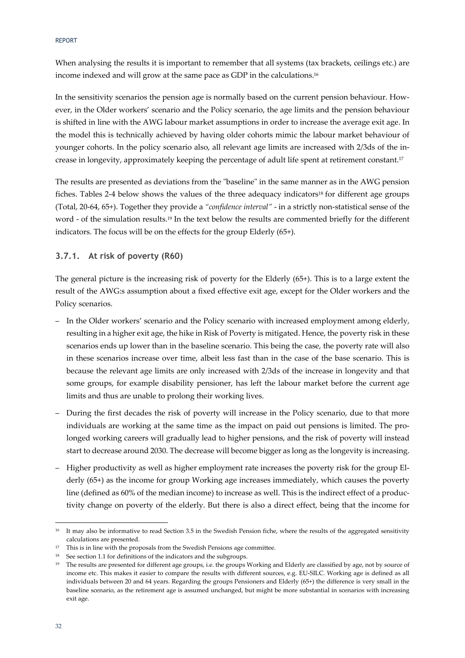REPORT

When analysing the results it is important to remember that all systems (tax brackets, ceilings etc.) are income indexed and will grow at the same pace as GDP in the calculations.16

In the sensitivity scenarios the pension age is normally based on the current pension behaviour. However, in the Older workers' scenario and the Policy scenario, the age limits and the pension behaviour is shifted in line with the AWG labour market assumptions in order to increase the average exit age. In the model this is technically achieved by having older cohorts mimic the labour market behaviour of younger cohorts. In the policy scenario also, all relevant age limits are increased with 2/3ds of the increase in longevity, approximately keeping the percentage of adult life spent at retirement constant.17

The results are presented as deviations from the "baseline" in the same manner as in the AWG pension fiches. Tables 2-4 below shows the values of the three adequacy indicators<sup>18</sup> for different age groups (Total, 20-64, 65+). Together they provide a *"confidence interval"* - in a strictly non-statistical sense of the word - of the simulation results.19 In the text below the results are commented briefly for the different indicators. The focus will be on the effects for the group Elderly (65+).

**3.7.1. At risk of poverty (R60)** 

The general picture is the increasing risk of poverty for the Elderly (65+). This is to a large extent the result of the AWG:s assumption about a fixed effective exit age, except for the Older workers and the Policy scenarios.

- In the Older workers' scenario and the Policy scenario with increased employment among elderly, resulting in a higher exit age, the hike in Risk of Poverty is mitigated. Hence, the poverty risk in these scenarios ends up lower than in the baseline scenario. This being the case, the poverty rate will also in these scenarios increase over time, albeit less fast than in the case of the base scenario. This is because the relevant age limits are only increased with 2/3ds of the increase in longevity and that some groups, for example disability pensioner, has left the labour market before the current age limits and thus are unable to prolong their working lives.
- During the first decades the risk of poverty will increase in the Policy scenario, due to that more individuals are working at the same time as the impact on paid out pensions is limited. The prolonged working careers will gradually lead to higher pensions, and the risk of poverty will instead start to decrease around 2030. The decrease will become bigger as long as the longevity is increasing.
- Higher productivity as well as higher employment rate increases the poverty risk for the group Elderly (65+) as the income for group Working age increases immediately, which causes the poverty line (defined as 60% of the median income) to increase as well. This is the indirect effect of a productivity change on poverty of the elderly. But there is also a direct effect, being that the income for

-

<sup>&</sup>lt;sup>16</sup> It may also be informative to read Section 3.5 in the Swedish Pension fiche, where the results of the aggregated sensitivity calculations are presented.

 $17$  This is in line with the proposals from the Swedish Pensions age committee.

<sup>&</sup>lt;sup>18</sup> See section 1.1 for definitions of the indicators and the subgroups.

<sup>&</sup>lt;sup>19</sup> The results are presented for different age groups, i.e. the groups Working and Elderly are classified by age, not by source of income etc. This makes it easier to compare the results with different sources, e.g. EU-SILC. Working age is defined as all individuals between 20 and 64 years. Regarding the groups Pensioners and Elderly (65+) the difference is very small in the baseline scenario, as the retirement age is assumed unchanged, but might be more substantial in scenarios with increasing exit age.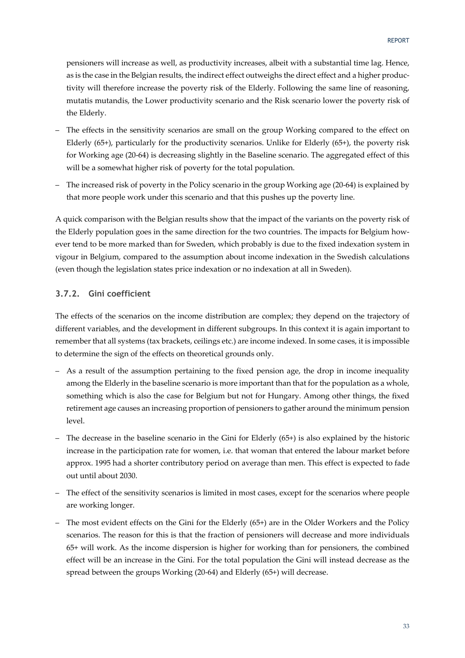pensioners will increase as well, as productivity increases, albeit with a substantial time lag. Hence, as is the case in the Belgian results, the indirect effect outweighs the direct effect and a higher productivity will therefore increase the poverty risk of the Elderly. Following the same line of reasoning, mutatis mutandis, the Lower productivity scenario and the Risk scenario lower the poverty risk of the Elderly.

- The effects in the sensitivity scenarios are small on the group Working compared to the effect on Elderly (65+), particularly for the productivity scenarios. Unlike for Elderly (65+), the poverty risk for Working age (20-64) is decreasing slightly in the Baseline scenario. The aggregated effect of this will be a somewhat higher risk of poverty for the total population.
- The increased risk of poverty in the Policy scenario in the group Working age (20-64) is explained by that more people work under this scenario and that this pushes up the poverty line.

A quick comparison with the Belgian results show that the impact of the variants on the poverty risk of the Elderly population goes in the same direction for the two countries. The impacts for Belgium however tend to be more marked than for Sweden, which probably is due to the fixed indexation system in vigour in Belgium, compared to the assumption about income indexation in the Swedish calculations (even though the legislation states price indexation or no indexation at all in Sweden).

#### **3.7.2. Gini coefficient**

The effects of the scenarios on the income distribution are complex; they depend on the trajectory of different variables, and the development in different subgroups. In this context it is again important to remember that all systems (tax brackets, ceilings etc.) are income indexed. In some cases, it is impossible to determine the sign of the effects on theoretical grounds only.

- As a result of the assumption pertaining to the fixed pension age, the drop in income inequality among the Elderly in the baseline scenario is more important than that for the population as a whole, something which is also the case for Belgium but not for Hungary. Among other things, the fixed retirement age causes an increasing proportion of pensioners to gather around the minimum pension level.
- The decrease in the baseline scenario in the Gini for Elderly (65+) is also explained by the historic increase in the participation rate for women, i.e. that woman that entered the labour market before approx. 1995 had a shorter contributory period on average than men. This effect is expected to fade out until about 2030.
- The effect of the sensitivity scenarios is limited in most cases, except for the scenarios where people are working longer.
- The most evident effects on the Gini for the Elderly (65+) are in the Older Workers and the Policy scenarios. The reason for this is that the fraction of pensioners will decrease and more individuals 65+ will work. As the income dispersion is higher for working than for pensioners, the combined effect will be an increase in the Gini. For the total population the Gini will instead decrease as the spread between the groups Working (20-64) and Elderly (65+) will decrease.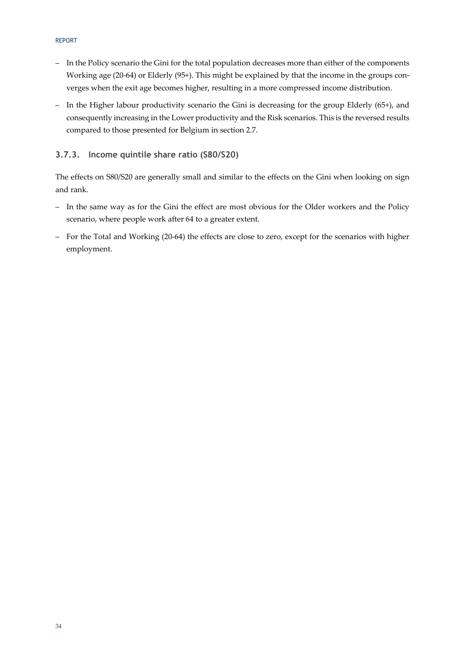- In the Policy scenario the Gini for the total population decreases more than either of the components Working age (20-64) or Elderly (95+). This might be explained by that the income in the groups converges when the exit age becomes higher, resulting in a more compressed income distribution.
- In the Higher labour productivity scenario the Gini is decreasing for the group Elderly (65+), and consequently increasing in the Lower productivity and the Risk scenarios. This is the reversed results compared to those presented for Belgium in section 2.7.

#### **3.7.3. Income quintile share ratio (S80/S20)**

The effects on S80/S20 are generally small and similar to the effects on the Gini when looking on sign and rank.

- In the same way as for the Gini the effect are most obvious for the Older workers and the Policy scenario, where people work after 64 to a greater extent.
- For the Total and Working (20-64) the effects are close to zero, except for the scenarios with higher employment.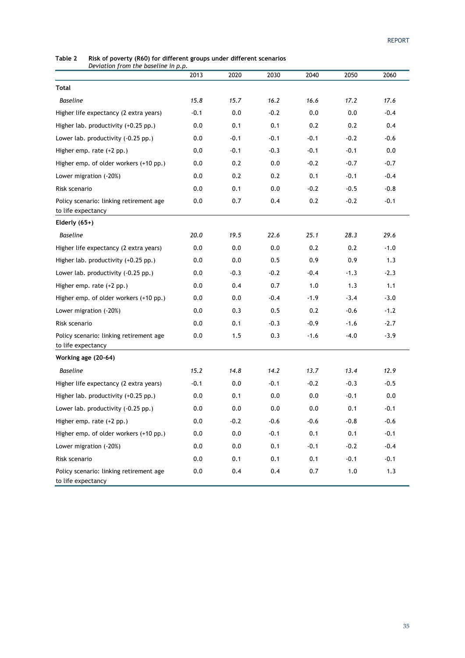#### **Table 2 Risk of poverty (R60) for different groups under different scenarios**  *Deviation from the baseline in p.p.*

| $S$ . The matrix $\mu$ of $\mu$ and the base three $\mu$ p.   | 2013    | 2020   | 2030   | 2040   | 2050    | 2060   |
|---------------------------------------------------------------|---------|--------|--------|--------|---------|--------|
| Total                                                         |         |        |        |        |         |        |
| <b>Baseline</b>                                               | 15.8    | 15.7   | 16.2   | 16.6   | 17.2    | 17.6   |
| Higher life expectancy (2 extra years)                        | $-0.1$  | 0.0    | $-0.2$ | 0.0    | 0.0     | $-0.4$ |
| Higher lab. productivity (+0.25 pp.)                          | 0.0     | 0.1    | 0.1    | 0.2    | 0.2     | 0.4    |
| Lower lab. productivity (-0.25 pp.)                           | 0.0     | $-0.1$ | $-0.1$ | $-0.1$ | $-0.2$  | $-0.6$ |
| Higher emp. rate $(+2$ pp.)                                   | 0.0     | $-0.1$ | $-0.3$ | $-0.1$ | $-0.1$  | 0.0    |
| Higher emp. of older workers (+10 pp.)                        | 0.0     | 0.2    | 0.0    | $-0.2$ | $-0.7$  | $-0.7$ |
| Lower migration (-20%)                                        | 0.0     | 0.2    | 0.2    | 0.1    | $-0.1$  | $-0.4$ |
| Risk scenario                                                 | 0.0     | 0.1    | 0.0    | $-0.2$ | $-0.5$  | $-0.8$ |
| Policy scenario: linking retirement age<br>to life expectancy | 0.0     | 0.7    | 0.4    | 0.2    | $-0.2$  | $-0.1$ |
| Elderly $(65+)$                                               |         |        |        |        |         |        |
| <b>Baseline</b>                                               | 20.0    | 19.5   | 22.6   | 25.1   | 28.3    | 29.6   |
| Higher life expectancy (2 extra years)                        | 0.0     | 0.0    | 0.0    | 0.2    | 0.2     | $-1.0$ |
| Higher lab. productivity (+0.25 pp.)                          | 0.0     | 0.0    | 0.5    | 0.9    | 0.9     | 1.3    |
| Lower lab. productivity (-0.25 pp.)                           | 0.0     | $-0.3$ | $-0.2$ | $-0.4$ | $-1.3$  | $-2.3$ |
| Higher emp. rate (+2 pp.)                                     | 0.0     | 0.4    | 0.7    | 1.0    | 1.3     | 1.1    |
| Higher emp. of older workers (+10 pp.)                        | 0.0     | 0.0    | $-0.4$ | $-1.9$ | $-3.4$  | $-3.0$ |
| Lower migration (-20%)                                        | 0.0     | 0.3    | 0.5    | 0.2    | $-0.6$  | $-1.2$ |
| Risk scenario                                                 | 0.0     | 0.1    | $-0.3$ | $-0.9$ | $-1.6$  | $-2.7$ |
| Policy scenario: linking retirement age<br>to life expectancy | 0.0     | 1.5    | 0.3    | $-1.6$ | $-4.0$  | $-3.9$ |
| Working age (20-64)                                           |         |        |        |        |         |        |
| <b>Baseline</b>                                               | 15.2    | 14.8   | 14.2   | 13.7   | 13.4    | 12.9   |
| Higher life expectancy (2 extra years)                        | $-0.1$  | 0.0    | $-0.1$ | $-0.2$ | $-0.3$  | $-0.5$ |
| Higher lab. productivity (+0.25 pp.)                          | 0.0     | 0.1    | 0.0    | 0.0    | $-0.1$  | 0.0    |
| Lower lab. productivity (-0.25 pp.)                           | 0.0     | 0.0    | 0.0    | 0.0    | 0.1     | $-0.1$ |
| Higher emp. rate (+2 pp.)                                     | 0.0     | $-0.2$ | $-0.6$ | $-0.6$ | $-0.8$  | $-0.6$ |
| Higher emp. of older workers (+10 pp.)                        | 0.0     | 0.0    | $-0.1$ | 0.1    | 0.1     | $-0.1$ |
| Lower migration (-20%)                                        | $0.0\,$ | 0.0    | 0.1    | $-0.1$ | $-0.2$  | $-0.4$ |
| Risk scenario                                                 | $0.0\,$ | 0.1    | 0.1    | 0.1    | $-0.1$  | $-0.1$ |
| Policy scenario: linking retirement age<br>to life expectancy | $0.0\,$ | 0.4    | 0.4    | 0.7    | $1.0\,$ | 1.3    |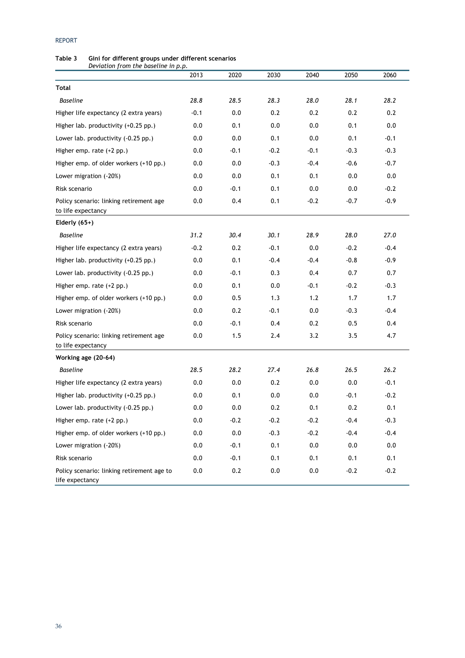#### REPORT

#### **Table 3 Gini for different groups under different scenarios**  *Deviation from the baseline in p.p.*

|                                                               | 2013    | 2020   | 2030    | 2040    | 2050   | 2060   |
|---------------------------------------------------------------|---------|--------|---------|---------|--------|--------|
| Total                                                         |         |        |         |         |        |        |
| <b>Baseline</b>                                               | 28.8    | 28.5   | 28.3    | 28.0    | 28.1   | 28.2   |
| Higher life expectancy (2 extra years)                        | $-0.1$  | 0.0    | 0.2     | 0.2     | 0.2    | 0.2    |
| Higher lab. productivity (+0.25 pp.)                          | 0.0     | 0.1    | 0.0     | 0.0     | 0.1    | 0.0    |
| Lower lab. productivity (-0.25 pp.)                           | 0.0     | 0.0    | 0.1     | 0.0     | 0.1    | $-0.1$ |
| Higher emp. rate $(+2$ pp.)                                   | 0.0     | $-0.1$ | $-0.2$  | $-0.1$  | $-0.3$ | $-0.3$ |
| Higher emp. of older workers (+10 pp.)                        | 0.0     | 0.0    | $-0.3$  | $-0.4$  | $-0.6$ | $-0.7$ |
| Lower migration (-20%)                                        | 0.0     | 0.0    | 0.1     | 0.1     | 0.0    | 0.0    |
| Risk scenario                                                 | 0.0     | $-0.1$ | 0.1     | 0.0     | 0.0    | $-0.2$ |
| Policy scenario: linking retirement age<br>to life expectancy | 0.0     | 0.4    | 0.1     | $-0.2$  | $-0.7$ | $-0.9$ |
| Elderly $(65+)$                                               |         |        |         |         |        |        |
| <b>Baseline</b>                                               | 31.2    | 30.4   | 30.1    | 28.9    | 28.0   | 27.0   |
| Higher life expectancy (2 extra years)                        | $-0.2$  | 0.2    | $-0.1$  | 0.0     | $-0.2$ | $-0.4$ |
| Higher lab. productivity (+0.25 pp.)                          | 0.0     | 0.1    | $-0.4$  | $-0.4$  | $-0.8$ | $-0.9$ |
| Lower lab. productivity (-0.25 pp.)                           | 0.0     | $-0.1$ | 0.3     | 0.4     | 0.7    | 0.7    |
| Higher emp. rate (+2 pp.)                                     | 0.0     | 0.1    | 0.0     | $-0.1$  | $-0.2$ | $-0.3$ |
| Higher emp. of older workers (+10 pp.)                        | 0.0     | 0.5    | 1.3     | 1.2     | 1.7    | 1.7    |
| Lower migration (-20%)                                        | 0.0     | 0.2    | $-0.1$  | 0.0     | $-0.3$ | $-0.4$ |
| Risk scenario                                                 | 0.0     | $-0.1$ | 0.4     | 0.2     | 0.5    | 0.4    |
| Policy scenario: linking retirement age<br>to life expectancy | 0.0     | 1.5    | 2.4     | 3.2     | 3.5    | 4.7    |
| Working age (20-64)                                           |         |        |         |         |        |        |
| <b>Baseline</b>                                               | 28.5    | 28.2   | 27.4    | 26.8    | 26.5   | 26.2   |
| Higher life expectancy (2 extra years)                        | 0.0     | 0.0    | 0.2     | 0.0     | 0.0    | $-0.1$ |
| Higher lab. productivity (+0.25 pp.)                          | 0.0     | 0.1    | 0.0     | 0.0     | $-0.1$ | $-0.2$ |
| Lower lab. productivity (-0.25 pp.)                           | 0.0     | 0.0    | 0.2     | 0.1     | 0.2    | 0.1    |
| Higher emp. rate (+2 pp.)                                     | 0.0     | $-0.2$ | $-0.2$  | $-0.2$  | $-0.4$ | $-0.3$ |
| Higher emp. of older workers (+10 pp.)                        | 0.0     | 0.0    | $-0.3$  | $-0.2$  | $-0.4$ | $-0.4$ |
| Lower migration (-20%)                                        | $0.0\,$ | $-0.1$ | 0.1     | 0.0     | 0.0    | 0.0    |
| Risk scenario                                                 | $0.0\,$ | $-0.1$ | 0.1     | 0.1     | 0.1    | 0.1    |
| Policy scenario: linking retirement age to<br>life expectancy | 0.0     | 0.2    | $0.0\,$ | $0.0\,$ | $-0.2$ | $-0.2$ |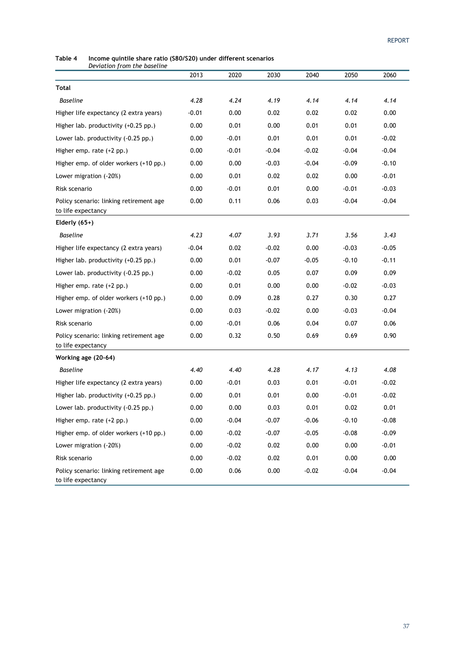**Table 4 Income quintile share ratio (S80/S20) under different scenarios**  *Deviation from the baseline* 

|                                                               | 2013    | 2020    | 2030    | 2040    | 2050    | 2060    |
|---------------------------------------------------------------|---------|---------|---------|---------|---------|---------|
| Total                                                         |         |         |         |         |         |         |
| <b>Baseline</b>                                               | 4.28    | 4.24    | 4.19    | 4.14    | 4.14    | 4.14    |
| Higher life expectancy (2 extra years)                        | $-0.01$ | 0.00    | 0.02    | 0.02    | 0.02    | 0.00    |
| Higher lab. productivity (+0.25 pp.)                          | 0.00    | 0.01    | 0.00    | 0.01    | 0.01    | 0.00    |
| Lower lab. productivity (-0.25 pp.)                           | 0.00    | $-0.01$ | 0.01    | 0.01    | 0.01    | $-0.02$ |
| Higher emp. rate $(+2$ pp.)                                   | 0.00    | $-0.01$ | $-0.04$ | $-0.02$ | $-0.04$ | $-0.04$ |
| Higher emp. of older workers (+10 pp.)                        | 0.00    | 0.00    | $-0.03$ | $-0.04$ | $-0.09$ | $-0.10$ |
| Lower migration (-20%)                                        | 0.00    | 0.01    | 0.02    | 0.02    | 0.00    | $-0.01$ |
| Risk scenario                                                 | 0.00    | $-0.01$ | 0.01    | 0.00    | $-0.01$ | $-0.03$ |
| Policy scenario: linking retirement age<br>to life expectancy | 0.00    | 0.11    | 0.06    | 0.03    | $-0.04$ | $-0.04$ |
| Elderly $(65+)$                                               |         |         |         |         |         |         |
| Baseline                                                      | 4.23    | 4.07    | 3.93    | 3.71    | 3.56    | 3.43    |
| Higher life expectancy (2 extra years)                        | $-0.04$ | 0.02    | $-0.02$ | 0.00    | $-0.03$ | $-0.05$ |
| Higher lab. productivity (+0.25 pp.)                          | 0.00    | 0.01    | $-0.07$ | $-0.05$ | $-0.10$ | $-0.11$ |
| Lower lab. productivity (-0.25 pp.)                           | 0.00    | $-0.02$ | 0.05    | 0.07    | 0.09    | 0.09    |
| Higher emp. rate $(+2$ pp.)                                   | 0.00    | 0.01    | 0.00    | 0.00    | $-0.02$ | $-0.03$ |
| Higher emp. of older workers (+10 pp.)                        | 0.00    | 0.09    | 0.28    | 0.27    | 0.30    | 0.27    |
| Lower migration (-20%)                                        | 0.00    | 0.03    | $-0.02$ | 0.00    | $-0.03$ | $-0.04$ |
| Risk scenario                                                 | 0.00    | $-0.01$ | 0.06    | 0.04    | 0.07    | 0.06    |
| Policy scenario: linking retirement age<br>to life expectancy | 0.00    | 0.32    | 0.50    | 0.69    | 0.69    | 0.90    |
| Working age (20-64)                                           |         |         |         |         |         |         |
| Baseline                                                      | 4.40    | 4.40    | 4.28    | 4.17    | 4.13    | 4.08    |
| Higher life expectancy (2 extra years)                        | 0.00    | $-0.01$ | 0.03    | 0.01    | $-0.01$ | $-0.02$ |
| Higher lab. productivity (+0.25 pp.)                          | 0.00    | 0.01    | 0.01    | 0.00    | $-0.01$ | $-0.02$ |
| Lower lab. productivity (-0.25 pp.)                           | 0.00    | 0.00    | 0.03    | 0.01    | 0.02    | 0.01    |
| Higher emp. rate (+2 pp.)                                     | 0.00    | $-0.04$ | $-0.07$ | $-0.06$ | $-0.10$ | $-0.08$ |
| Higher emp. of older workers (+10 pp.)                        | 0.00    | $-0.02$ | $-0.07$ | $-0.05$ | $-0.08$ | $-0.09$ |
| Lower migration (-20%)                                        | 0.00    | $-0.02$ | 0.02    | 0.00    | 0.00    | $-0.01$ |
| Risk scenario                                                 | 0.00    | $-0.02$ | 0.02    | 0.01    | 0.00    | 0.00    |
| Policy scenario: linking retirement age<br>to life expectancy | 0.00    | 0.06    | 0.00    | $-0.02$ | $-0.04$ | $-0.04$ |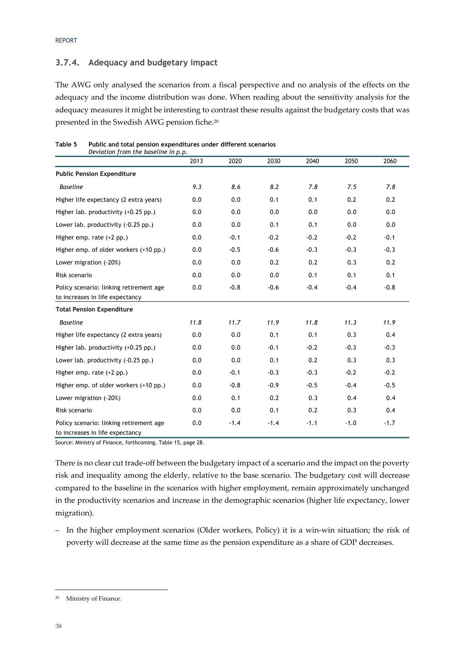### **3.7.4. Adequacy and budgetary impact**

The AWG only analysed the scenarios from a fiscal perspective and no analysis of the effects on the adequacy and the income distribution was done. When reading about the sensitivity analysis for the adequacy measures it might be interesting to contrast these results against the budgetary costs that was presented in the Swedish AWG pension fiche.20

| Table 5 | Public and total pension expenditures under different scenarios |
|---------|-----------------------------------------------------------------|
|         | Deviation from the baseline in p.p.                             |

|                                                                            | 2013 | 2020   | 2030   | 2040   | 2050   | 2060   |
|----------------------------------------------------------------------------|------|--------|--------|--------|--------|--------|
| <b>Public Pension Expenditure</b>                                          |      |        |        |        |        |        |
| <b>Baseline</b>                                                            | 9.3  | 8.6    | 8.2    | 7.8    | 7.5    | 7.8    |
| Higher life expectancy (2 extra years)                                     | 0.0  | 0.0    | 0.1    | 0.1    | 0.2    | 0.2    |
| Higher lab. productivity (+0.25 pp.)                                       | 0.0  | 0.0    | 0.0    | 0.0    | 0.0    | 0.0    |
| Lower lab. productivity (-0.25 pp.)                                        | 0.0  | 0.0    | 0.1    | 0.1    | 0.0    | 0.0    |
| Higher emp. rate $(+2$ pp.)                                                | 0.0  | $-0.1$ | $-0.2$ | $-0.2$ | $-0.2$ | $-0.1$ |
| Higher emp. of older workers (+10 pp.)                                     | 0.0  | $-0.5$ | $-0.6$ | $-0.3$ | $-0.3$ | $-0.3$ |
| Lower migration (-20%)                                                     | 0.0  | 0.0    | 0.2    | 0.2    | 0.3    | 0.2    |
| Risk scenario                                                              | 0.0  | 0.0    | 0.0    | 0.1    | 0.1    | 0.1    |
| Policy scenario: linking retirement age                                    | 0.0  | $-0.8$ | $-0.6$ | $-0.4$ | $-0.4$ | $-0.8$ |
| to increases in life expectancy                                            |      |        |        |        |        |        |
| <b>Total Pension Expenditure</b>                                           |      |        |        |        |        |        |
| <b>Baseline</b>                                                            | 11.8 | 11.7   | 11.9   | 11.8   | 11.3   | 11.9   |
| Higher life expectancy (2 extra years)                                     | 0.0  | 0.0    | 0.1    | 0.1    | 0.3    | 0.4    |
| Higher lab. productivity (+0.25 pp.)                                       | 0.0  | 0.0    | $-0.1$ | $-0.2$ | $-0.3$ | $-0.3$ |
| Lower lab. productivity (-0.25 pp.)                                        | 0.0  | 0.0    | 0.1    | 0.2    | 0.3    | 0.3    |
| Higher emp. rate $(+2$ pp.)                                                | 0.0  | $-0.1$ | $-0.3$ | $-0.3$ | $-0.2$ | $-0.2$ |
| Higher emp. of older workers (+10 pp.)                                     | 0.0  | $-0.8$ | $-0.9$ | $-0.5$ | $-0.4$ | $-0.5$ |
| Lower migration (-20%)                                                     | 0.0  | 0.1    | 0.2    | 0.3    | 0.4    | 0.4    |
| Risk scenario                                                              | 0.0  | 0.0    | 0.1    | 0.2    | 0.3    | 0.4    |
| Policy scenario: linking retirement age<br>to increases in life expectancy | 0.0  | $-1.4$ | $-1.4$ | $-1.1$ | $-1.0$ | $-1.7$ |

Source: Ministry of Finance, forthcoming, Table 15, page 28.

There is no clear cut trade-off between the budgetary impact of a scenario and the impact on the poverty risk and inequality among the elderly, relative to the base scenario. The budgetary cost will decrease compared to the baseline in the scenarios with higher employment, remain approximately unchanged in the productivity scenarios and increase in the demographic scenarios (higher life expectancy, lower migration).

– In the higher employment scenarios (Older workers, Policy) it is a win-win situation; the risk of poverty will decrease at the same time as the pension expenditure as a share of GDP decreases.

-

<sup>20</sup> Ministry of Finance.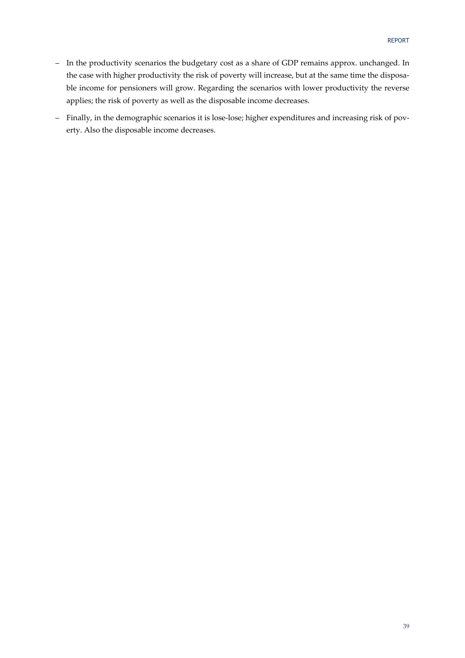- In the productivity scenarios the budgetary cost as a share of GDP remains approx. unchanged. In the case with higher productivity the risk of poverty will increase, but at the same time the disposable income for pensioners will grow. Regarding the scenarios with lower productivity the reverse applies; the risk of poverty as well as the disposable income decreases.
- Finally, in the demographic scenarios it is lose-lose; higher expenditures and increasing risk of poverty. Also the disposable income decreases.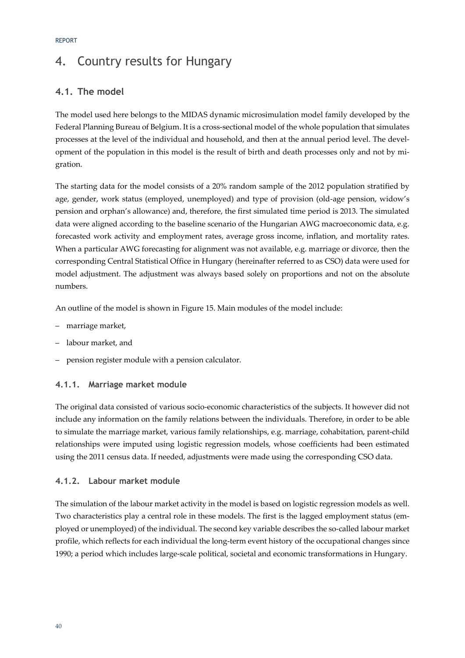# 4. Country results for Hungary

## **4.1. The model**

The model used here belongs to the MIDAS dynamic microsimulation model family developed by the Federal Planning Bureau of Belgium. It is a cross-sectional model of the whole population that simulates processes at the level of the individual and household, and then at the annual period level. The development of the population in this model is the result of birth and death processes only and not by migration.

The starting data for the model consists of a 20% random sample of the 2012 population stratified by age, gender, work status (employed, unemployed) and type of provision (old-age pension, widow's pension and orphan's allowance) and, therefore, the first simulated time period is 2013. The simulated data were aligned according to the baseline scenario of the Hungarian AWG macroeconomic data, e.g. forecasted work activity and employment rates, average gross income, inflation, and mortality rates. When a particular AWG forecasting for alignment was not available, e.g. marriage or divorce, then the corresponding Central Statistical Office in Hungary (hereinafter referred to as CSO) data were used for model adjustment. The adjustment was always based solely on proportions and not on the absolute numbers.

An outline of the model is shown in Figure 15. Main modules of the model include:

- marriage market,
- labour market, and
- pension register module with a pension calculator.

#### **4.1.1. Marriage market module**

The original data consisted of various socio-economic characteristics of the subjects. It however did not include any information on the family relations between the individuals. Therefore, in order to be able to simulate the marriage market, various family relationships, e.g. marriage, cohabitation, parent-child relationships were imputed using logistic regression models, whose coefficients had been estimated using the 2011 census data. If needed, adjustments were made using the corresponding CSO data.

#### **4.1.2. Labour market module**

The simulation of the labour market activity in the model is based on logistic regression models as well. Two characteristics play a central role in these models. The first is the lagged employment status (employed or unemployed) of the individual. The second key variable describes the so-called labour market profile, which reflects for each individual the long-term event history of the occupational changes since 1990; a period which includes large-scale political, societal and economic transformations in Hungary.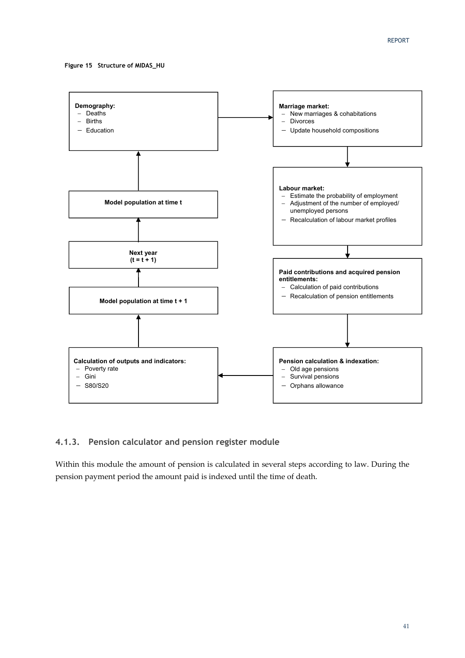**Figure 15 Structure of MIDAS\_HU** 



#### **4.1.3. Pension calculator and pension register module**

Within this module the amount of pension is calculated in several steps according to law. During the pension payment period the amount paid is indexed until the time of death.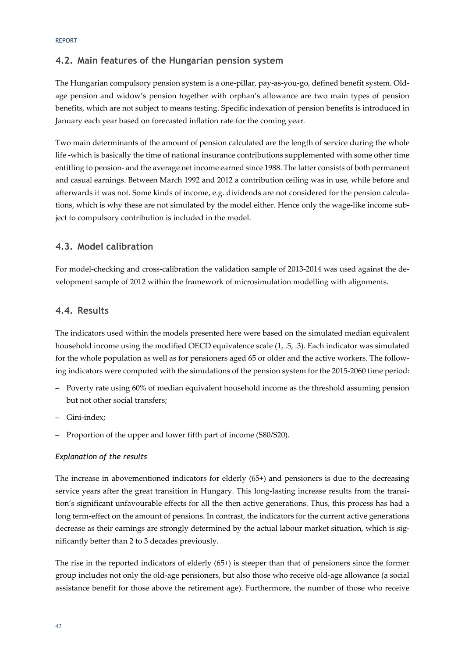### **4.2. Main features of the Hungarian pension system**

The Hungarian compulsory pension system is a one-pillar, pay-as-you-go, defined benefit system. Oldage pension and widow's pension together with orphan's allowance are two main types of pension benefits, which are not subject to means testing. Specific indexation of pension benefits is introduced in January each year based on forecasted inflation rate for the coming year.

Two main determinants of the amount of pension calculated are the length of service during the whole life -which is basically the time of national insurance contributions supplemented with some other time entitling to pension- and the average net income earned since 1988. The latter consists of both permanent and casual earnings. Between March 1992 and 2012 a contribution ceiling was in use, while before and afterwards it was not. Some kinds of income, e.g. dividends are not considered for the pension calculations, which is why these are not simulated by the model either. Hence only the wage-like income subject to compulsory contribution is included in the model.

#### **4.3. Model calibration**

For model-checking and cross-calibration the validation sample of 2013-2014 was used against the development sample of 2012 within the framework of microsimulation modelling with alignments.

#### **4.4. Results**

The indicators used within the models presented here were based on the simulated median equivalent household income using the modified OECD equivalence scale (1, .5, .3). Each indicator was simulated for the whole population as well as for pensioners aged 65 or older and the active workers. The following indicators were computed with the simulations of the pension system for the 2015-2060 time period:

- Poverty rate using 60% of median equivalent household income as the threshold assuming pension but not other social transfers;
- Gini-index;
- Proportion of the upper and lower fifth part of income (S80/S20).

#### *Explanation of the results*

The increase in abovementioned indicators for elderly (65+) and pensioners is due to the decreasing service years after the great transition in Hungary. This long-lasting increase results from the transition's significant unfavourable effects for all the then active generations. Thus, this process has had a long term-effect on the amount of pensions. In contrast, the indicators for the current active generations decrease as their earnings are strongly determined by the actual labour market situation, which is significantly better than 2 to 3 decades previously.

The rise in the reported indicators of elderly (65+) is steeper than that of pensioners since the former group includes not only the old-age pensioners, but also those who receive old-age allowance (a social assistance benefit for those above the retirement age). Furthermore, the number of those who receive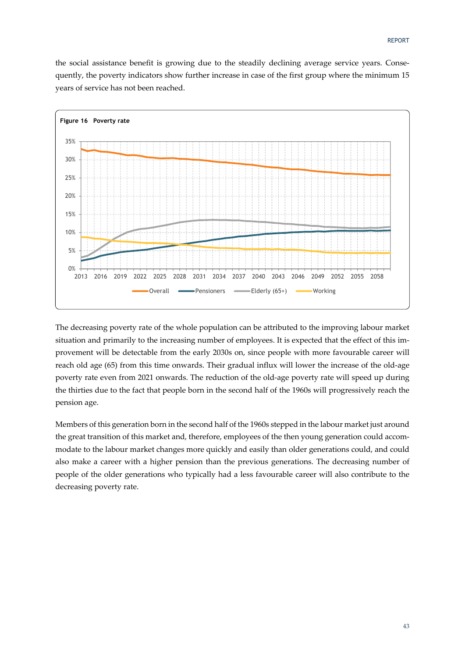the social assistance benefit is growing due to the steadily declining average service years. Consequently, the poverty indicators show further increase in case of the first group where the minimum 15 years of service has not been reached.



The decreasing poverty rate of the whole population can be attributed to the improving labour market situation and primarily to the increasing number of employees. It is expected that the effect of this improvement will be detectable from the early 2030s on, since people with more favourable career will reach old age (65) from this time onwards. Their gradual influx will lower the increase of the old-age poverty rate even from 2021 onwards. The reduction of the old-age poverty rate will speed up during the thirties due to the fact that people born in the second half of the 1960s will progressively reach the pension age.

Members of this generation born in the second half of the 1960s stepped in the labour market just around the great transition of this market and, therefore, employees of the then young generation could accommodate to the labour market changes more quickly and easily than older generations could, and could also make a career with a higher pension than the previous generations. The decreasing number of people of the older generations who typically had a less favourable career will also contribute to the decreasing poverty rate.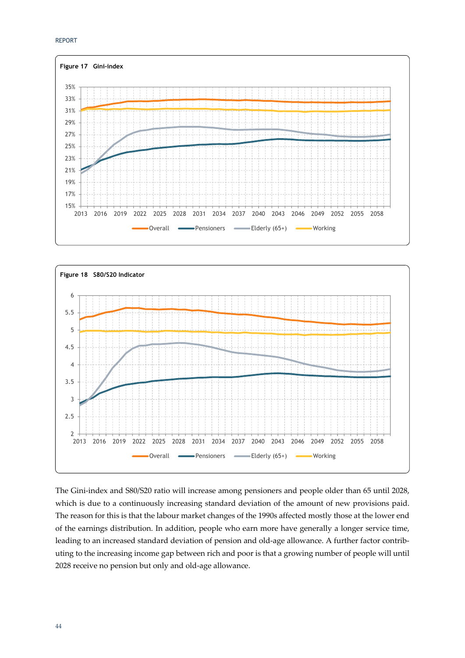



The Gini-index and S80/S20 ratio will increase among pensioners and people older than 65 until 2028, which is due to a continuously increasing standard deviation of the amount of new provisions paid. The reason for this is that the labour market changes of the 1990s affected mostly those at the lower end of the earnings distribution. In addition, people who earn more have generally a longer service time, leading to an increased standard deviation of pension and old-age allowance. A further factor contributing to the increasing income gap between rich and poor is that a growing number of people will until 2028 receive no pension but only and old-age allowance.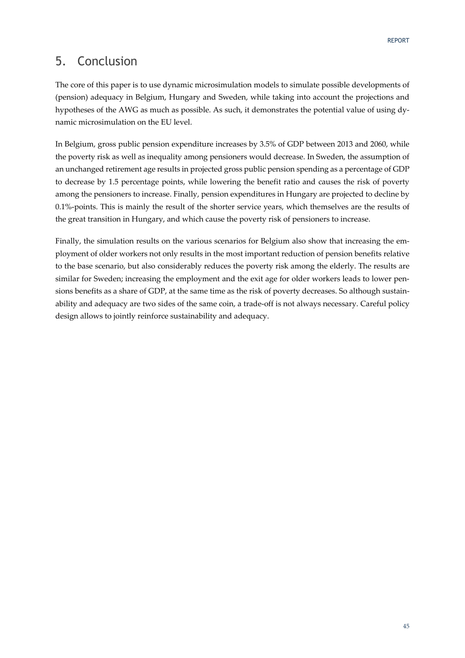## 5. Conclusion

The core of this paper is to use dynamic microsimulation models to simulate possible developments of (pension) adequacy in Belgium, Hungary and Sweden, while taking into account the projections and hypotheses of the AWG as much as possible. As such, it demonstrates the potential value of using dynamic microsimulation on the EU level.

In Belgium, gross public pension expenditure increases by 3.5% of GDP between 2013 and 2060, while the poverty risk as well as inequality among pensioners would decrease. In Sweden, the assumption of an unchanged retirement age results in projected gross public pension spending as a percentage of GDP to decrease by 1.5 percentage points, while lowering the benefit ratio and causes the risk of poverty among the pensioners to increase. Finally, pension expenditures in Hungary are projected to decline by 0.1%-points. This is mainly the result of the shorter service years, which themselves are the results of the great transition in Hungary, and which cause the poverty risk of pensioners to increase.

Finally, the simulation results on the various scenarios for Belgium also show that increasing the employment of older workers not only results in the most important reduction of pension benefits relative to the base scenario, but also considerably reduces the poverty risk among the elderly. The results are similar for Sweden; increasing the employment and the exit age for older workers leads to lower pensions benefits as a share of GDP, at the same time as the risk of poverty decreases. So although sustainability and adequacy are two sides of the same coin, a trade-off is not always necessary. Careful policy design allows to jointly reinforce sustainability and adequacy.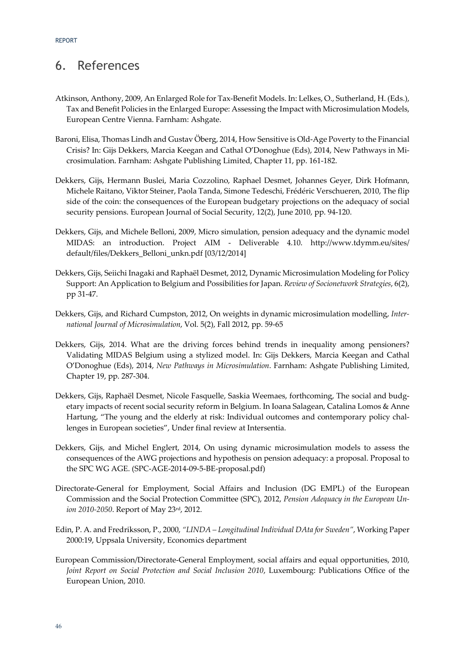## 6. References

- Atkinson, Anthony, 2009, An Enlarged Role for Tax-Benefit Models. In: Lelkes, O., Sutherland, H. (Eds.), Tax and Benefit Policies in the Enlarged Europe: Assessing the Impact with Microsimulation Models, European Centre Vienna. Farnham: Ashgate.
- Baroni, Elisa, Thomas Lindh and Gustav Öberg, 2014, How Sensitive is Old-Age Poverty to the Financial Crisis? In: Gijs Dekkers, Marcia Keegan and Cathal O'Donoghue (Eds), 2014, New Pathways in Microsimulation. Farnham: Ashgate Publishing Limited, Chapter 11, pp. 161-182.
- Dekkers, Gijs, Hermann Buslei, Maria Cozzolino, Raphael Desmet, Johannes Geyer, Dirk Hofmann, Michele Raitano, Viktor Steiner, Paola Tanda, Simone Tedeschi, Frédéric Verschueren, 2010, The flip side of the coin: the consequences of the European budgetary projections on the adequacy of social security pensions. European Journal of Social Security, 12(2), June 2010, pp. 94-120.
- Dekkers, Gijs, and Michele Belloni, 2009, Micro simulation, pension adequacy and the dynamic model MIDAS: an introduction. Project AIM - Deliverable 4.10. http://www.tdymm.eu/sites/ default/files/Dekkers\_Belloni\_unkn.pdf [03/12/2014]
- Dekkers, Gijs, Seiichi Inagaki and Raphaël Desmet, 2012, Dynamic Microsimulation Modeling for Policy Support: An Application to Belgium and Possibilities for Japan. *Review of Socionetwork Strategies*, 6(2), pp 31-47.
- Dekkers, Gijs, and Richard Cumpston, 2012, On weights in dynamic microsimulation modelling, *International Journal of Microsimulation*, Vol. 5(2), Fall 2012, pp. 59-65
- Dekkers, Gijs, 2014. What are the driving forces behind trends in inequality among pensioners? Validating MIDAS Belgium using a stylized model. In: Gijs Dekkers, Marcia Keegan and Cathal O'Donoghue (Eds), 2014, *New Pathways in Microsimulation*. Farnham: Ashgate Publishing Limited, Chapter 19, pp. 287-304.
- Dekkers, Gijs, Raphaël Desmet, Nicole Fasquelle, Saskia Weemaes, forthcoming, The social and budgetary impacts of recent social security reform in Belgium. In Ioana Salagean, Catalina Lomos & Anne Hartung, "The young and the elderly at risk: Individual outcomes and contemporary policy challenges in European societies", Under final review at Intersentia.
- Dekkers, Gijs, and Michel Englert, 2014, On using dynamic microsimulation models to assess the consequences of the AWG projections and hypothesis on pension adequacy: a proposal. Proposal to the SPC WG AGE. (SPC-AGE-2014-09-5-BE-proposal.pdf)
- Directorate-General for Employment, Social Affairs and Inclusion (DG EMPL) of the European Commission and the Social Protection Committee (SPC), 2012, *Pension Adequacy in the European Union 2010-2050*. Report of May 23rd, 2012.
- Edin, P. A. and Fredriksson, P., 2000, *"LINDA Longitudinal Individual DAta for Sweden"*, Working Paper 2000:19, Uppsala University, Economics department
- European Commission/Directorate-General Employment, social affairs and equal opportunities, 2010, *Joint Report on Social Protection and Social Inclusion 2010*, Luxembourg: Publications Office of the European Union, 2010.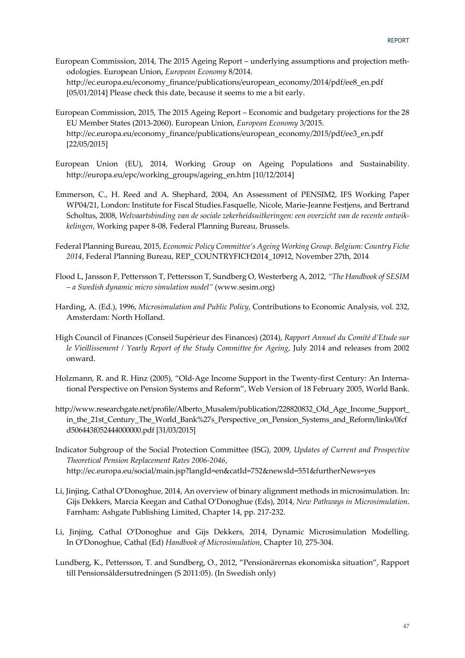- European Commission, 2014, The 2015 Ageing Report underlying assumptions and projection methodologies. European Union, *European Economy* 8/2014. http://ec.europa.eu/economy\_finance/publications/european\_economy/2014/pdf/ee8\_en.pdf [05/01/2014] Please check this date, because it seems to me a bit early.
- European Commission, 2015, The 2015 Ageing Report Economic and budgetary projections for the 28 EU Member States (2013-2060). European Union, *European Economy* 3/2015. http://ec.europa.eu/economy\_finance/publications/european\_economy/2015/pdf/ee3\_en.pdf [22/05/2015]
- European Union (EU), 2014, Working Group on Ageing Populations and Sustainability. http://europa.eu/epc/working\_groups/ageing\_en.htm [10/12/2014]
- Emmerson, C., H. Reed and A. Shephard, 2004, An Assessment of PENSIM2, IFS Working Paper WP04/21, London: Institute for Fiscal Studies.Fasquelle, Nicole, Marie-Jeanne Festjens, and Bertrand Scholtus, 2008, *Welvaartsbinding van de sociale zekerheidsuitkeringen: een overzicht van de recente ontwikkelingen*, Working paper 8-08, Federal Planning Bureau, Brussels.
- Federal Planning Bureau, 2015, *Economic Policy Committee's Ageing Working Group. Belgium: Country Fiche 2014*, Federal Planning Bureau, REP\_COUNTRYFICH2014\_10912, November 27th, 2014
- Flood L, Jansson F, Pettersson T, Pettersson T, Sundberg O, Westerberg A, 2012, *"The Handbook of SESIM – a Swedish dynamic micro simulation model"* (www.sesim.org)
- Harding, A. (Ed.), 1996, *Microsimulation and Public Policy*, Contributions to Economic Analysis, vol. 232, Amsterdam: North Holland.
- High Council of Finances (Conseil Supérieur des Finances) (2014), *Rapport Annuel du Comité d'Etude sur le Vieillissement / Yearly Report of the Study Committee for Ageing*, July 2014 and releases from 2002 onward.
- Holzmann, R. and R. Hinz (2005), "Old-Age Income Support in the Twenty-first Century: An International Perspective on Pension Systems and Reform", Web Version of 18 February 2005, World Bank.
- http://www.researchgate.net/profile/Alberto\_Musalem/publication/228820832\_Old\_Age\_Income\_Support\_ in\_the\_21st\_Century\_The\_World\_Bank%27s\_Perspective\_on\_Pension\_Systems\_and\_Reform/links/0fcf d506443f052444000000.pdf [31/03/2015]
- Indicator Subgroup of the Social Protection Committee (ISG), 2009, *Updates of Current and Prospective Theoretical Pension Replacement Rates 2006-2046*, http://ec.europa.eu/social/main.jsp?langId=en&catId=752&newsId=551&furtherNews=yes
- Li, Jinjing, Cathal O'Donoghue, 2014, An overview of binary alignment methods in microsimulation. In: Gijs Dekkers, Marcia Keegan and Cathal O'Donoghue (Eds), 2014, *New Pathways in Microsimulation*. Farnham: Ashgate Publishing Limited, Chapter 14, pp. 217-232.
- Li, Jinjing, Cathal O'Donoghue and Gijs Dekkers, 2014, Dynamic Microsimulation Modelling. In O'Donoghue, Cathal (Ed) *Handbook of Microsimulation*, Chapter 10, 275-304.
- Lundberg, K., Pettersson, T. and Sundberg, O., 2012, "Pensionärernas ekonomiska situation", Rapport till Pensionsåldersutredningen (S 2011:05). (In Swedish only)